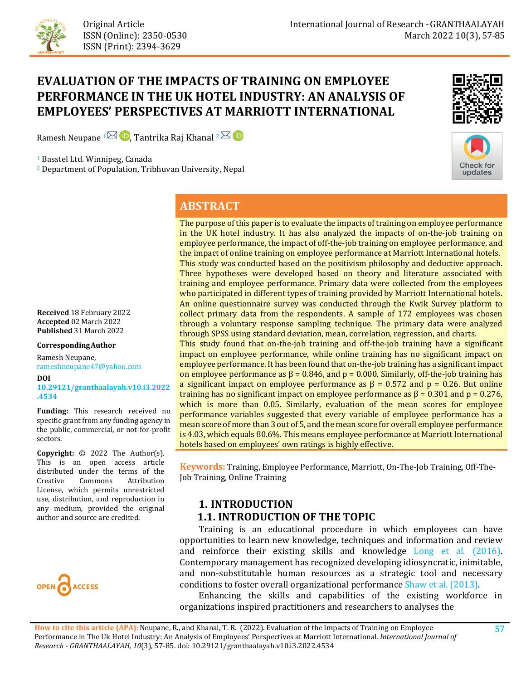

# **EVALUATION OF THE IMPACTS OF TRAINING ON EMPLOYEE PERFORMANCE IN THE UK HOTEL INDUSTRY: AN ANALYSIS OF EMPLOYEES' PERSPECTIVES AT MARRIOTT INTERNATIONAL**

Ramesh Neupane  $1^{\boxtimes}$  D, Tantrika Raj Khanal  $2^{\boxtimes}$  D

<sup>1</sup> Basstel Ltd. Winnipeg, Canada

<sup>2</sup> Department of Population, Tribhuvan University, Nepal





# **ABSTRACT**

The purpose of this paper is to evaluate the impacts of training on employee performance in the UK hotel industry. It has also analyzed the impacts of on-the-job training on employee performance, the impact of off-the-job training on employee performance, and the impact of online training on employee performance at Marriott International hotels. This study was conducted based on the positivism philosophy and deductive approach. Three hypotheses were developed based on theory and literature associated with training and employee performance. Primary data were collected from the employees who participated in different types of training provided by Marriott International hotels. An online questionnaire survey was conducted through the Kwik Survey platform to collect primary data from the respondents. A sample of 172 employees was chosen through a voluntary response sampling technique. The primary data were analyzed through SPSS using standard deviation, mean, correlation, regression, and charts.

This study found that on-the-job training and off-the-job training have a significant impact on employee performance, while online training has no significant impact on employee performance. It has been found that on-the-job training has a significant impact on employee performance as  $\beta = 0.846$ , and  $p = 0.000$ . Similarly, off-the-job training has a significant impact on employee performance as  $\beta = 0.572$  and  $p = 0.26$ . But online training has no significant impact on employee performance as  $β = 0.301$  and  $p = 0.276$ , which is more than 0.05. Similarly, evaluation of the mean scores for employee performance variables suggested that every variable of employee performance has a mean score of more than 3 out of 5, and the mean score for overall employee performance is 4.03, which equals 80.6%. This means employee performance at Marriott International hotels based on employees' own ratings is highly effective.

**Keywords:** Training, Employee Performance, Marriott, On-The-Job Training, Off-The-Job Training, Online Training

# **1. INTRODUCTION 1.1. INTRODUCTION OF THE TOPIC**

 Training is an educational procedure in which employees can have opportunities to learn new knowledge, techniques and information and review and reinforce their existing skills and knowledge [Long et al. \(2016\).](#page-26-0) Contemporary management has recognized developing idiosyncratic, inimitable, and non-substitutable human resources as a strategic tool and necessary conditions to foster overall organizational performance [Shaw et al. \(2013\).](#page-27-0)

 Enhancing the skills and capabilities of the existing workforce in organizations inspired practitioners and researchers to analyses the

**Received** 18 February 2022 **Accepted** 02 March 2022 **Published** 31 March 2022

#### **CorrespondingAuthor**

Ramesh Neupane, rameshneupane47@yahoo.com

**DOI** 

**[10.29121/granthaalayah.v10.i3.2022](https://dx.doi.org/10.29121/granthaalayah.v10.i3.2022.4534) [.4534](https://dx.doi.org/10.29121/granthaalayah.v10.i3.2022.4534)** 

**Funding:** This research received no specific grant from any funding agency in the public, commercial, or not-for-profit sectors.

**Copyright:** © 2022 The Author(s). This is an open access article distributed under the terms of the<br>Creative Commons Attribution Attribution License, which permits unrestricted use, distribution, and reproduction in any medium, provided the original author and source are credited.

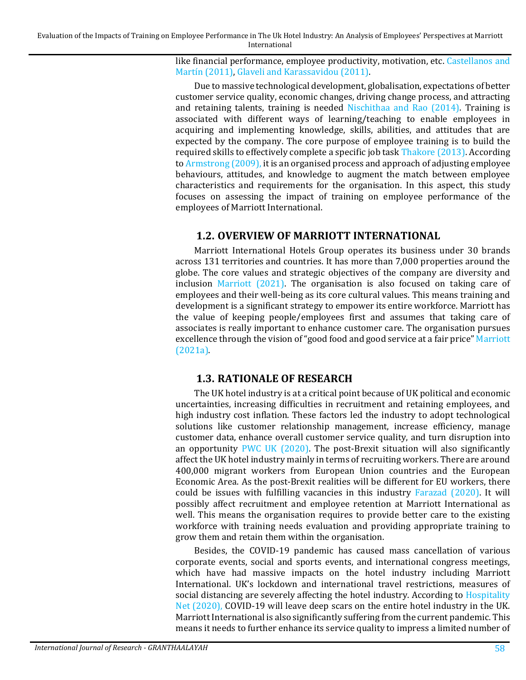like financial performance, employee productivity, motivation, etc. [Castellanos and](#page-23-0)  [Martín \(2011\),](#page-23-0) [Glaveli and Karassavidou \(2011\).](#page-24-0) 

Due to massive technological development, globalisation, expectations of better customer service quality, economic changes, driving change process, and attracting and retaining talents, training is needed [Nischithaa and Rao \(2014\).](#page-26-1) Training is associated with different ways of learning/teaching to enable employees in acquiring and implementing knowledge, skills, abilities, and attitudes that are expected by the company. The core purpose of employee training is to build the required skills to effectively complete a specific job tas[k Thakore \(2013\).](#page-28-0) According t[o Armstrong \(2009\),](#page-23-1) it is an organised process and approach of adjusting employee behaviours, attitudes, and knowledge to augment the match between employee characteristics and requirements for the organisation. In this aspect, this study focuses on assessing the impact of training on employee performance of the employees of Marriott International.

# **1.2. OVERVIEW OF MARRIOTT INTERNATIONAL**

Marriott International Hotels Group operates its business under 30 brands across 131 territories and countries. It has more than 7,000 properties around the globe. The core values and strategic objectives of the company are diversity and inclusion [Marriott \(2021\).](#page-26-2) The organisation is also focused on taking care of employees and their well-being as its core cultural values. This means training and development is a significant strategy to empower its entire workforce. Marriott has the value of keeping people/employees first and assumes that taking care of associates is really important to enhance customer care. The organisation pursues excellence through the vision of "good food and good service at a fair price[" Marriott](#page-26-3)  [\(2021a\).](#page-26-3)

# **1.3. RATIONALE OF RESEARCH**

The UK hotel industry is at a critical point because of UK political and economic uncertainties, increasing difficulties in recruitment and retaining employees, and high industry cost inflation. These factors led the industry to adopt technological solutions like customer relationship management, increase efficiency, manage customer data, enhance overall customer service quality, and turn disruption into an opportunity [PWC UK \(2020\).](#page-27-1) The post-Brexit situation will also significantly affect the UK hotel industry mainly in terms of recruiting workers. There are around 400,000 migrant workers from European Union countries and the European Economic Area. As the post-Brexit realities will be different for EU workers, there could be issues with fulfilling vacancies in this industry [Farazad \(2020\).](#page-24-1) It will possibly affect recruitment and employee retention at Marriott International as well. This means the organisation requires to provide better care to the existing workforce with training needs evaluation and providing appropriate training to grow them and retain them within the organisation.

Besides, the COVID-19 pandemic has caused mass cancellation of various corporate events, social and sports events, and international congress meetings, which have had massive impacts on the hotel industry including Marriott International. UK's lockdown and international travel restrictions, measures of social distancing are severely affecting the hotel industry. According to Hospitality [Net \(2020\),](#page-24-2) COVID-19 will leave deep scars on the entire hotel industry in the UK. Marriott International is also significantly suffering from the current pandemic. This means it needs to further enhance its service quality to impress a limited number of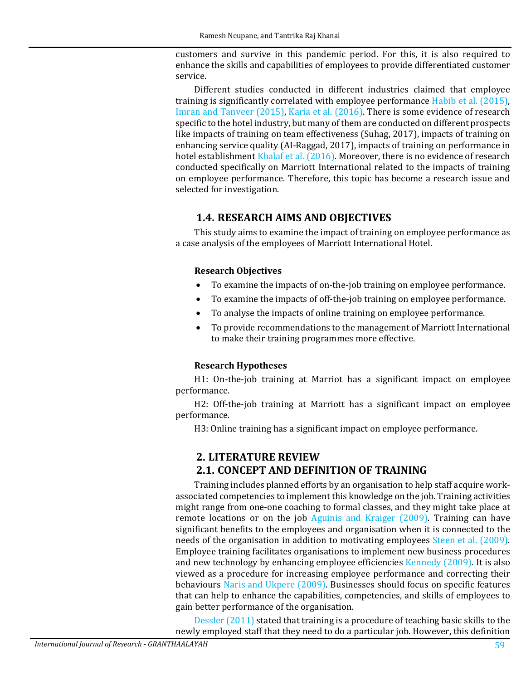customers and survive in this pandemic period. For this, it is also required to enhance the skills and capabilities of employees to provide differentiated customer service.

Different studies conducted in different industries claimed that employee training is significantly correlated with employee performance [Habib et al. \(2015\),](#page-24-3) [Imran and Tanveer \(2015\),](#page-24-4) [Karia et al. \(2016\).](#page-25-0) There is some evidence of research specific to the hotel industry, but many of them are conducted on different prospects like impacts of training on team effectiveness (Suhag, 2017), impacts of training on enhancing service quality (AI-Raggad, 2017), impacts of training on performance in hotel establishment [Khalaf et al. \(2016\).](#page-25-1) Moreover, there is no evidence of research conducted specifically on Marriott International related to the impacts of training on employee performance. Therefore, this topic has become a research issue and selected for investigation.

# **1.4. RESEARCH AIMS AND OBJECTIVES**

This study aims to examine the impact of training on employee performance as a case analysis of the employees of Marriott International Hotel.

#### **Research Objectives**

- To examine the impacts of on-the-job training on employee performance.
- To examine the impacts of off-the-job training on employee performance.
- To analyse the impacts of online training on employee performance.
- To provide recommendations to the management of Marriott International to make their training programmes more effective.

### **Research Hypotheses**

H1: On-the-job training at Marriot has a significant impact on employee performance.

H2: Off-the-job training at Marriott has a significant impact on employee performance.

H3: Online training has a significant impact on employee performance.

# **2. LITERATURE REVIEW**

# **2.1. CONCEPT AND DEFINITION OF TRAINING**

Training includes planned efforts by an organisation to help staff acquire workassociated competencies to implement this knowledge on the job. Training activities might range from one-one coaching to formal classes, and they might take place at remote locations or on the job [Aguinis and Kraiger \(2009\).](#page-23-2) Training can have significant benefits to the employees and organisation when it is connected to the needs of the organisation in addition to motivating employees [Steen et al. \(2009\).](#page-27-2) Employee training facilitates organisations to implement new business procedures and new technology by enhancing employee efficiencies [Kennedy \(2009\).](#page-25-2) It is also viewed as a procedure for increasing employee performance and correcting their behaviours [Naris and Ukpere \(2009\).](#page-26-4) Businesses should focus on specific features that can help to enhance the capabilities, competencies, and skills of employees to gain better performance of the organisation.

[Dessler \(2011\)](#page-24-5) stated that training is a procedure of teaching basic skills to the newly employed staff that they need to do a particular job. However, this definition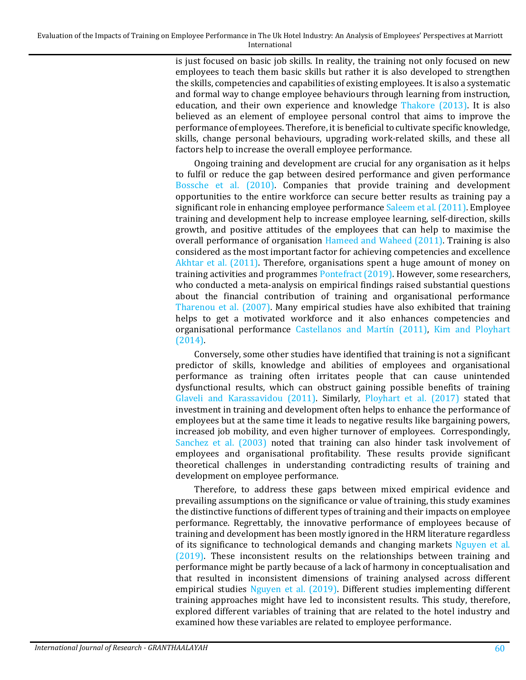is just focused on basic job skills. In reality, the training not only focused on new employees to teach them basic skills but rather it is also developed to strengthen the skills, competencies and capabilities of existing employees. It is also a systematic and formal way to change employee behaviours through learning from instruction, education, and their own experience and knowledge [Thakore \(2013\).](#page-28-0) It is also believed as an element of employee personal control that aims to improve the performance of employees. Therefore, it is beneficial to cultivate specific knowledge, skills, change personal behaviours, upgrading work-related skills, and these all factors help to increase the overall employee performance.

Ongoing training and development are crucial for any organisation as it helps to fulfil or reduce the gap between desired performance and given performance [Bossche et al. \(2010\).](#page-23-3) Companies that provide training and development opportunities to the entire workforce can secure better results as training pay a significant role in enhancing employee performance [Saleem et al. \(2011\).](#page-27-3) Employee training and development help to increase employee learning, self-direction, skills growth, and positive attitudes of the employees that can help to maximise the overall performance of organisation [Hameed and Waheed \(2011\).](#page-24-6) Training is also considered as the most important factor for achieving competencies and excellence [Akhtar et al. \(2011\).](#page-23-4) Therefore, organisations spent a huge amount of money on training activities and programmes [Pontefract \(2019\).](#page-27-4) However, some researchers, who conducted a meta-analysis on empirical findings raised substantial questions about the financial contribution of training and organisational performance [Tharenou et al. \(2007\).](#page-28-1) Many empirical studies have also exhibited that training helps to get a motivated workforce and it also enhances competencies and organisational performance [Castellanos and Martín \(2011\),](#page-23-0) [Kim and Ployhart](#page-25-3)  [\(2014\).](#page-25-3) 

Conversely, some other studies have identified that training is not a significant predictor of skills, knowledge and abilities of employees and organisational performance as training often irritates people that can cause unintended dysfunctional results, which can obstruct gaining possible benefits of training Glaveli [and Karassavidou \(2011\).](#page-24-0) Similarly, [Ployhart et al. \(2017\)](#page-27-5) stated that investment in training and development often helps to enhance the performance of employees but at the same time it leads to negative results like bargaining powers, increased job mobility, and even higher turnover of employees. Correspondingly, [Sanchez et al. \(2003\)](#page-27-6) noted that training can also hinder task involvement of employees and organisational profitability. These results provide significant theoretical challenges in understanding contradicting results of training and development on employee performance.

Therefore, to address these gaps between mixed empirical evidence and prevailing assumptions on the significance or value of training, this study examines the distinctive functions of different types of training and their impacts on employee performance. Regrettably, the innovative performance of employees because of training and development has been mostly ignored in the HRM literature regardless of its significance to technological demands and changing markets [Nguyen et al.](#page-26-5)  [\(2019\).](#page-26-5) These inconsistent results on the relationships between training and performance might be partly because of a lack of harmony in conceptualisation and that resulted in inconsistent dimensions of training analysed across different empirical studies [Nguyen et al. \(2019\).](#page-26-5) Different studies implementing different training approaches might have led to inconsistent results. This study, therefore, explored different variables of training that are related to the hotel industry and examined how these variables are related to employee performance.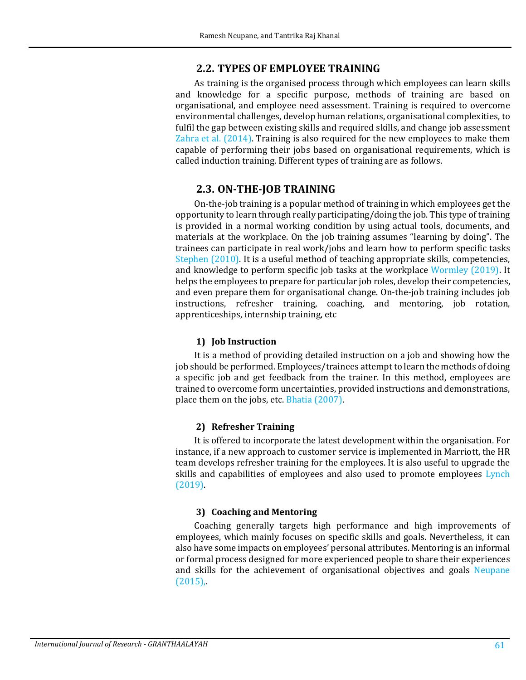## **2.2. TYPES OF EMPLOYEE TRAINING**

As training is the organised process through which employees can learn skills and knowledge for a specific purpose, methods of training are based on organisational, and employee need assessment. Training is required to overcome environmental challenges, develop human relations, organisational complexities, to fulfil the gap between existing skills and required skills, and change job assessment [Zahra et al. \(2014\).](#page-28-2) Training is also required for the new employees to make them capable of performing their jobs based on organisational requirements, which is called induction training. Different types of training are as follows.

## **2.3. ON-THE-JOB TRAINING**

On-the-job training is a popular method of training in which employees get the opportunity to learn through really participating/doing the job. This type of training is provided in a normal working condition by using actual tools, documents, and materials at the workplace. On the job training assumes "learning by doing". The trainees can participate in real work/jobs and learn how to perform specific tasks [Stephen \(2010\).](#page-28-3) It is a useful method of teaching appropriate skills, competencies, and knowledge to perform specific job tasks at the workplace [Wormley \(2019\).](#page-28-4) It helps the employees to prepare for particular job roles, develop their competencies, and even prepare them for organisational change. On-the-job training includes job instructions, refresher training, coaching, and mentoring, job rotation, apprenticeships, internship training, etc

### **1) Job Instruction**

It is a method of providing detailed instruction on a job and showing how the job should be performed. Employees/trainees attempt to learn the methods of doing a specific job and get feedback from the trainer. In this method, employees are trained to overcome form uncertainties, provided instructions and demonstrations, place them on the jobs, etc. [Bhatia \(2007\).](#page-23-5)

### **2) Refresher Training**

It is offered to incorporate the latest development within the organisation. For instance, if a new approach to customer service is implemented in Marriott, the HR team develops refresher training for the employees. It is also useful to upgrade the skills and capabilities of employees and also used to promote employees [Lynch](#page-26-6)  [\(2019\).](#page-26-6) 

#### **3) Coaching and Mentoring**

Coaching generally targets high performance and high improvements of employees, which mainly focuses on specific skills and goals. Nevertheless, it can also have some impacts on employees' personal attributes. Mentoring is an informal or formal process designed for more experienced people to share their experiences and skills for the achievement of organisational objectives and goals [Neupane](#page-26-7)   $(2015)$ ,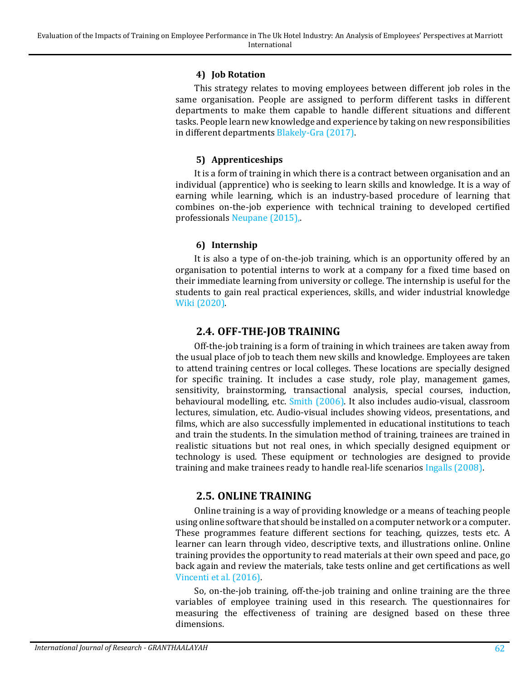#### **4) Job Rotation**

This strategy relates to moving employees between different job roles in the same organisation. People are assigned to perform different tasks in different departments to make them capable to handle different situations and different tasks. People learn new knowledge and experience by taking on new responsibilities in different department[s Blakely-Gra \(2017\).](#page-23-6) 

### **5) Apprenticeships**

It is a form of training in which there is a contract between organisation and an individual (apprentice) who is seeking to learn skills and knowledge. It is a way of earning while learning, which is an industry-based procedure of learning that combines on-the-job experience with technical training to developed certified professionals [Neupane \(2015\),](#page-26-7).

### **6) Internship**

It is also a type of on-the-job training, which is an opportunity offered by an organisation to potential interns to work at a company for a fixed time based on their immediate learning from university or college. The internship is useful for the students to gain real practical experiences, skills, and wider industrial knowledge [Wiki \(2020\).](#page-28-5)

## **2.4. OFF-THE-JOB TRAINING**

Off-the-job training is a form of training in which trainees are taken away from the usual place of job to teach them new skills and knowledge. Employees are taken to attend training centres or local colleges. These locations are specially designed for specific training. It includes a case study, role play, management games, sensitivity, brainstorming, transactional analysis, special courses, induction, behavioural modelling, etc. [Smith \(2006\).](#page-27-7) It also includes audio-visual, classroom lectures, simulation, etc. Audio-visual includes showing videos, presentations, and films, which are also successfully implemented in educational institutions to teach and train the students. In the simulation method of training, trainees are trained in realistic situations but not real ones, in which specially designed equipment or technology is used. These equipment or technologies are designed to provide training and make trainees ready to handle real-life scenarios [Ingalls \(2008\).](#page-25-4)

# **2.5. ONLINE TRAINING**

Online training is a way of providing knowledge or a means of teaching people using online software that should be installed on a computer network or a computer. These programmes feature different sections for teaching, quizzes, tests etc. A learner can learn through video, descriptive texts, and illustrations online. Online training provides the opportunity to read materials at their own speed and pace, go back again and review the materials, take tests online and get certifications as well [Vincenti et al. \(2016\).](#page-28-6) 

So, on-the-job training, off-the-job training and online training are the three variables of employee training used in this research. The questionnaires for measuring the effectiveness of training are designed based on these three dimensions.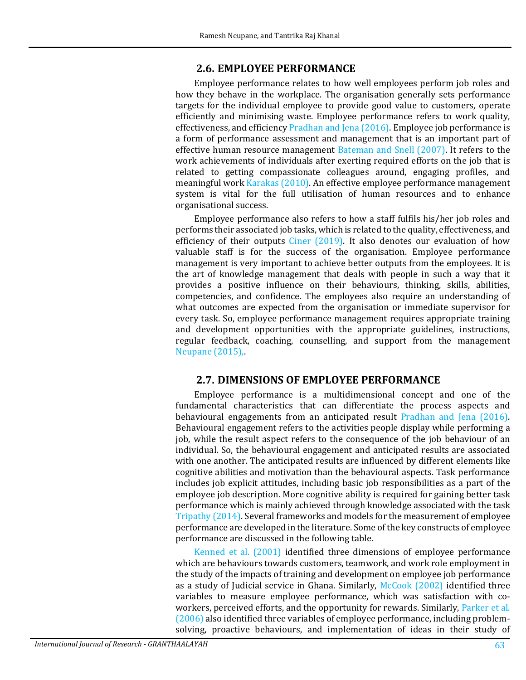#### **2.6. EMPLOYEE PERFORMANCE**

Employee performance relates to how well employees perform job roles and how they behave in the workplace. The organisation generally sets performance targets for the individual employee to provide good value to customers, operate efficiently and minimising waste. Employee performance refers to work quality, effectiveness, and efficienc[y Pradhan and Jena \(2016\).](#page-27-8) Employee job performance is a form of performance assessment and management that is an important part of effective human resource management [Bateman and Snell \(2007\).](#page-23-7) It refers to the work achievements of individuals after exerting required efforts on the job that is related to getting compassionate colleagues around, engaging profiles, and meaningful work [Karakas \(2010\).](#page-25-5) An effective employee performance management system is vital for the full utilisation of human resources and to enhance organisational success.

Employee performance also refers to how a staff fulfils his/her job roles and performs their associated job tasks, which is related to the quality, effectiveness, and efficiency of their outputs [Ciner \(2019\).](#page-23-8) It also denotes our evaluation of how valuable staff is for the success of the organisation. Employee performance management is very important to achieve better outputs from the employees. It is the art of knowledge management that deals with people in such a way that it provides a positive influence on their behaviours, thinking, skills, abilities, competencies, and confidence. The employees also require an understanding of what outcomes are expected from the organisation or immediate supervisor for every task. So, employee performance management requires appropriate training and development opportunities with the appropriate guidelines, instructions, regular feedback, coaching, counselling, and support from the management [Neupane \(2015\),](#page-26-7)

#### **2.7. DIMENSIONS OF EMPLOYEE PERFORMANCE**

Employee performance is a multidimensional concept and one of the fundamental characteristics that can differentiate the process aspects and behavioural engagements from an anticipated result [Pradhan and Jena \(2016\).](#page-27-8) Behavioural engagement refers to the activities people display while performing a job, while the result aspect refers to the consequence of the job behaviour of an individual. So, the behavioural engagement and anticipated results are associated with one another. The anticipated results are influenced by different elements like cognitive abilities and motivation than the behavioural aspects. Task performance includes job explicit attitudes, including basic job responsibilities as a part of the employee job description. More cognitive ability is required for gaining better task performance which is mainly achieved through knowledge associated with the task [Tripathy \(2014\).](#page-28-7) Several frameworks and models for the measurement of employee performance are developed in the literature. Some of the key constructs of employee performance are discussed in the following table.

[Kenned et al. \(2001\)](#page-25-6) identified three dimensions of employee performance which are behaviours towards customers, teamwork, and work role employment in the study of the impacts of training and development on employee job performance as a study of Judicial service in Ghana. Similarly, [McCook \(2002\)](#page-26-8) identified three variables to measure employee performance, which was satisfaction with coworkers, perceived efforts, and the opportunity for rewards. Similarly, [Parker et al.](#page-27-9)  [\(2006\)](#page-27-9) also identified three variables of employee performance, including problemsolving, proactive behaviours, and implementation of ideas in their study of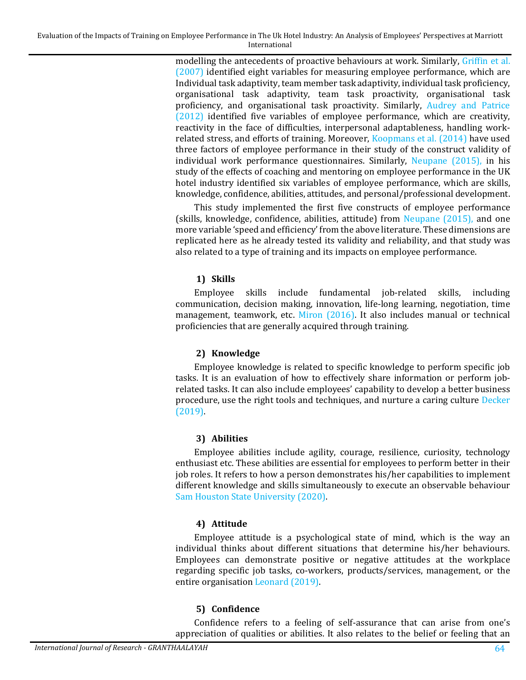modelling the antecedents of proactive behaviours at work. Similarly, [Griffin et al.](#page-24-7)  [\(2007\)](#page-24-7) identified eight variables for measuring employee performance, which are Individual task adaptivity, team member task adaptivity, individual task proficiency, organisational task adaptivity, team task proactivity, organisational task proficiency, and organisational task proactivity. Similarly, [Audrey and Patrice](#page-23-9)  [\(2012\)](#page-23-9) identified five variables of employee performance, which are creativity, reactivity in the face of difficulties, interpersonal adaptableness, handling workrelated stress, and efforts of training. Moreover, [Koopmans et al. \(2014\)](#page-25-7) have used three factors of employee performance in their study of the construct validity of individual work performance questionnaires. Similarly, [Neupane \(2015\),](#page-26-7) in his study of the effects of coaching and mentoring on employee performance in the UK hotel industry identified six variables of employee performance, which are skills, knowledge, confidence, abilities, attitudes, and personal/professional development.

This study implemented the first five constructs of employee performance (skills, knowledge, confidence, abilities, attitude) from [Neupane \(2015\),](#page-26-7) and one more variable 'speed and efficiency' from the above literature. These dimensions are replicated here as he already tested its validity and reliability, and that study was also related to a type of training and its impacts on employee performance.

### **1) Skills**

Employee skills include fundamental job-related skills, including communication, decision making, innovation, life-long learning, negotiation, time management, teamwork, etc. [Miron \(2016\).](#page-26-9) It also includes manual or technical proficiencies that are generally acquired through training.

#### **2) Knowledge**

Employee knowledge is related to specific knowledge to perform specific job tasks. It is an evaluation of how to effectively share information or perform jobrelated tasks. It can also include employees' capability to develop a better business procedure, use the right tools and techniques, and nurture a caring culture [Decker](#page-24-8)  [\(2019\).](#page-24-8) 

### **3) Abilities**

Employee abilities include agility, courage, resilience, curiosity, technology enthusiast etc. These abilities are essential for employees to perform better in their job roles. It refers to how a person demonstrates his/her capabilities to implement different knowledge and skills simultaneously to execute an observable behaviour [Sam Houston State University \(2020\).](#page-27-10) 

### **4) Attitude**

Employee attitude is a psychological state of mind, which is the way an individual thinks about different situations that determine his/her behaviours. Employees can demonstrate positive or negative attitudes at the workplace regarding specific job tasks, co-workers, products/services, management, or the entire organisation [Leonard \(2019\).](#page-26-10) 

### **5) Confidence**

Confidence refers to a feeling of self-assurance that can arise from one's appreciation of qualities or abilities. It also relates to the belief or feeling that an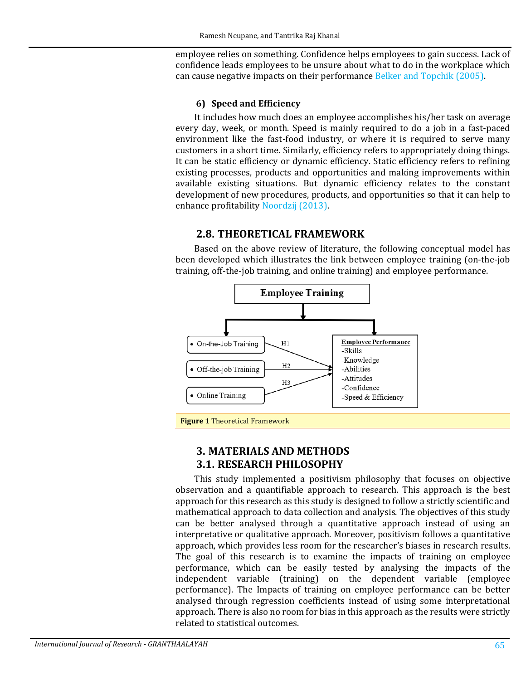employee relies on something. Confidence helps employees to gain success. Lack of confidence leads employees to be unsure about what to do in the workplace which can cause negative impacts on their performance [Belker and Topchik \(2005\).](#page-23-10) 

### **6) Speed and Efficiency**

It includes how much does an employee accomplishes his/her task on average every day, week, or month. Speed is mainly required to do a job in a fast-paced environment like the fast-food industry, or where it is required to serve many customers in a short time. Similarly, efficiency refers to appropriately doing things. It can be static efficiency or dynamic efficiency. Static efficiency refers to refining existing processes, products and opportunities and making improvements within available existing situations. But dynamic efficiency relates to the constant development of new procedures, products, and opportunities so that it can help to enhance profitability [Noordzij \(2013\).](#page-27-11) 

# **2.8. THEORETICAL FRAMEWORK**

Based on the above review of literature, the following conceptual model has been developed which illustrates the link between employee training (on-the-job training, off-the-job training, and online training) and employee performance.



**Figure 1** Theoretical Framework

# **3. MATERIALS AND METHODS 3.1. RESEARCH PHILOSOPHY**

This study implemented a positivism philosophy that focuses on objective observation and a quantifiable approach to research. This approach is the best approach for this research as this study is designed to follow a strictly scientific and mathematical approach to data collection and analysis. The objectives of this study can be better analysed through a quantitative approach instead of using an interpretative or qualitative approach. Moreover, positivism follows a quantitative approach, which provides less room for the researcher's biases in research results. The goal of this research is to examine the impacts of training on employee performance, which can be easily tested by analysing the impacts of the independent variable (training) on the dependent variable (employee performance). The Impacts of training on employee performance can be better analysed through regression coefficients instead of using some interpretational approach. There is also no room for bias in this approach as the results were strictly related to statistical outcomes.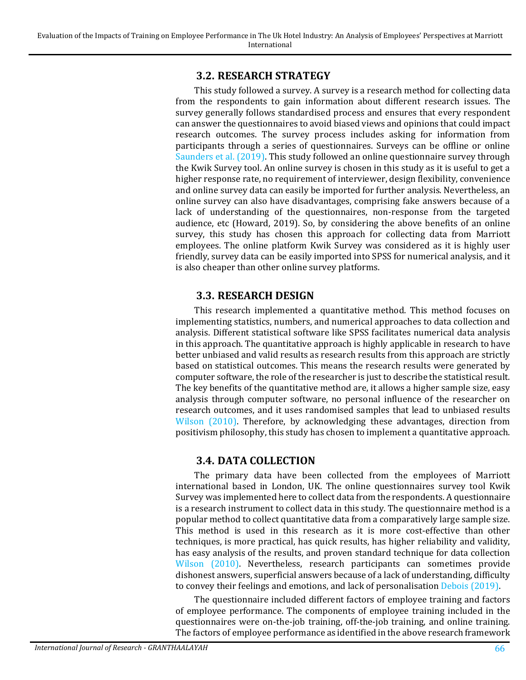## **3.2. RESEARCH STRATEGY**

This study followed a survey. A survey is a research method for collecting data from the respondents to gain information about different research issues. The survey generally follows standardised process and ensures that every respondent can answer the questionnaires to avoid biased views and opinions that could impact research outcomes. The survey process includes asking for information from participants through a series of questionnaires. Surveys can be offline or online [Saunders et al. \(2019\).](#page-27-12) This study followed an online questionnaire survey through the Kwik Survey tool. An online survey is chosen in this study as it is useful to get a higher response rate, no requirement of interviewer, design flexibility, convenience and online survey data can easily be imported for further analysis. Nevertheless, an online survey can also have disadvantages, comprising fake answers because of a lack of understanding of the questionnaires, non-response from the targeted audience, etc (Howard, 2019). So, by considering the above benefits of an online survey, this study has chosen this approach for collecting data from Marriott employees. The online platform Kwik Survey was considered as it is highly user friendly, survey data can be easily imported into SPSS for numerical analysis, and it is also cheaper than other online survey platforms.

## **3.3. RESEARCH DESIGN**

This research implemented a quantitative method. This method focuses on implementing statistics, numbers, and numerical approaches to data collection and analysis. Different statistical software like SPSS facilitates numerical data analysis in this approach. The quantitative approach is highly applicable in research to have better unbiased and valid results as research results from this approach are strictly based on statistical outcomes. This means the research results were generated by computer software, the role of the researcher is just to describe the statistical result. The key benefits of the quantitative method are, it allows a higher sample size, easy analysis through computer software, no personal influence of the researcher on research outcomes, and it uses randomised samples that lead to unbiased results [Wilson \(2010\).](#page-28-8) Therefore, by acknowledging these advantages, direction from positivism philosophy, this study has chosen to implement a quantitative approach.

# **3.4. DATA COLLECTION**

The primary data have been collected from the employees of Marriott international based in London, UK. The online questionnaires survey tool Kwik Survey was implemented here to collect data from the respondents. A questionnaire is a research instrument to collect data in this study. The questionnaire method is a popular method to collect quantitative data from a comparatively large sample size. This method is used in this research as it is more cost-effective than other techniques, is more practical, has quick results, has higher reliability and validity, has easy analysis of the results, and proven standard technique for data collection [Wilson \(2010\).](#page-28-8) Nevertheless, research participants can sometimes provide dishonest answers, superficial answers because of a lack of understanding, difficulty to convey their feelings and emotions, and lack of personalisatio[n Debois \(2019\).](#page-24-9)

The questionnaire included different factors of employee training and factors of employee performance. The components of employee training included in the questionnaires were on-the-job training, off-the-job training, and online training. The factors of employee performance as identified in the above research framework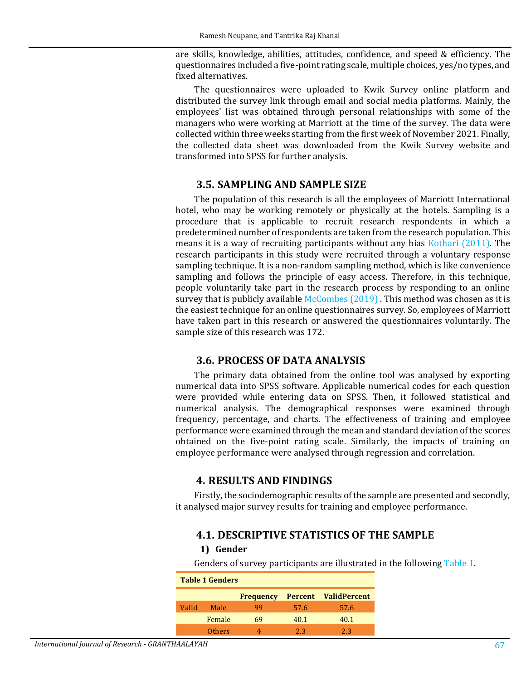are skills, knowledge, abilities, attitudes, confidence, and speed & efficiency. The questionnaires included a five-point rating scale, multiple choices, yes/no types, and fixed alternatives.

The questionnaires were uploaded to Kwik Survey online platform and distributed the survey link through email and social media platforms. Mainly, the employees' list was obtained through personal relationships with some of the managers who were working at Marriott at the time of the survey. The data were collected within three weeks starting from the first week of November 2021. Finally, the collected data sheet was downloaded from the Kwik Survey website and transformed into SPSS for further analysis.

#### **3.5. SAMPLING AND SAMPLE SIZE**

The population of this research is all the employees of Marriott International hotel, who may be working remotely or physically at the hotels. Sampling is a procedure that is applicable to recruit research respondents in which a predetermined number of respondents are taken from the research population. This means it is a way of recruiting participants without any bias [Kothari \(2011\).](#page-25-8) The research participants in this study were recruited through a voluntary response sampling technique. It is a non-random sampling method, which is like convenience sampling and follows the principle of easy access. Therefore, in this technique, people voluntarily take part in the research process by responding to an online survey that is publicly availabl[e McCombes \(2019\) .](#page-26-11) This method was chosen as it is the easiest technique for an online questionnaires survey. So, employees of Marriott have taken part in this research or answered the questionnaires voluntarily. The sample size of this research was 172.

#### **3.6. PROCESS OF DATA ANALYSIS**

The primary data obtained from the online tool was analysed by exporting numerical data into SPSS software. Applicable numerical codes for each question were provided while entering data on SPSS. Then, it followed statistical and numerical analysis. The demographical responses were examined through frequency, percentage, and charts. The effectiveness of training and employee performance were examined through the mean and standard deviation of the scores obtained on the five-point rating scale. Similarly, the impacts of training on employee performance were analysed through regression and correlation.

#### **4. RESULTS AND FINDINGS**

Firstly, the sociodemographic results of the sample are presented and secondly, it analysed major survey results for training and employee performance.

### **4.1. DESCRIPTIVE STATISTICS OF THE SAMPLE**

#### **1) Gender**

Genders of survey participants are illustrated in the following [Table 1.](#page-10-0)

<span id="page-10-0"></span>

| <b>Table 1 Genders</b> |               |                  |      |                             |  |  |  |  |  |
|------------------------|---------------|------------------|------|-----------------------------|--|--|--|--|--|
|                        |               | <b>Frequency</b> |      | <b>Percent ValidPercent</b> |  |  |  |  |  |
| Valid                  | Male          | qq               | 57.6 | 57.6                        |  |  |  |  |  |
|                        | Female        | 69               | 40.1 | 40.1                        |  |  |  |  |  |
|                        | <b>Others</b> |                  | 23   | 2.3                         |  |  |  |  |  |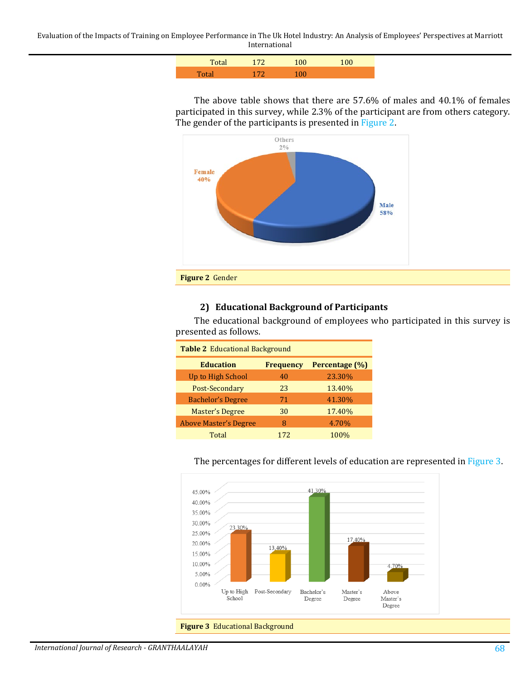Evaluation of the Impacts of Training on Employee Performance in The Uk Hotel Industry: An Analysis of Employees' Perspectives at Marriott International

| $T_{0}$ to | 172 | $\Omega$ |  |
|------------|-----|----------|--|
| Total      | 172 | 1 በበ     |  |

The above table shows that there are 57.6% of males and 40.1% of females participated in this survey, while 2.3% of the participant are from others category. The gender of the participants is presented i[n Figure 2.](#page-11-0) 



#### <span id="page-11-0"></span>**2) Educational Background of Participants**

The educational background of employees who participated in this survey is presented as follows.

| <b>Table 2 Educational Background</b>                  |     |        |  |  |  |  |  |
|--------------------------------------------------------|-----|--------|--|--|--|--|--|
| Percentage (%)<br><b>Education</b><br><b>Frequency</b> |     |        |  |  |  |  |  |
| Up to High School                                      | 40  | 23.30% |  |  |  |  |  |
| Post-Secondary                                         | 23  | 13.40% |  |  |  |  |  |
| <b>Bachelor's Degree</b>                               | 71  | 41.30% |  |  |  |  |  |
| <b>Master's Degree</b>                                 | 30  | 17.40% |  |  |  |  |  |
| <b>Above Master's Degree</b>                           | 8   | 4.70%  |  |  |  |  |  |
| Total                                                  | 172 | 100%   |  |  |  |  |  |



### The percentages for different levels of education are represented i[n Figure 3.](#page-11-1)

<span id="page-11-1"></span>**Figure 3** Educational Background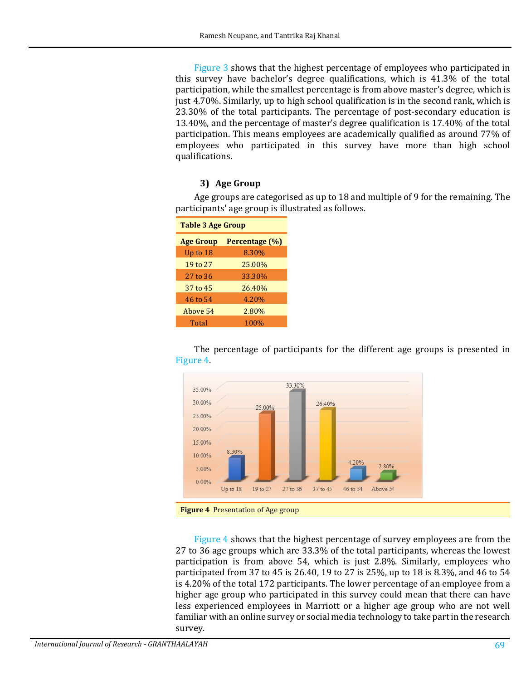[Figure 3](#page-11-1) shows that the highest percentage of employees who participated in this survey have bachelor's degree qualifications, which is 41.3% of the total participation, while the smallest percentage is from above master's degree, which is just 4.70%. Similarly, up to high school qualification is in the second rank, which is 23.30% of the total participants. The percentage of post-secondary education is 13.40%, and the percentage of master's degree qualification is 17.40% of the total participation. This means employees are academically qualified as around 77% of employees who participated in this survey have more than high school qualifications.

#### **3) Age Group**

Age groups are categorised as up to 18 and multiple of 9 for the remaining. The participants' age group is illustrated as follows.

| <b>Table 3 Age Group</b> |                |  |  |  |  |
|--------------------------|----------------|--|--|--|--|
| <b>Age Group</b>         | Percentage (%) |  |  |  |  |
| Up to 18                 | 8.30%          |  |  |  |  |
| 19 to 27                 | 25.00%         |  |  |  |  |
| 27 to 36                 | 33.30%         |  |  |  |  |
| 37 to 45                 | 26.40%         |  |  |  |  |
| 46 to 54                 | 4.20%          |  |  |  |  |
| Above 54                 | 2.80%          |  |  |  |  |
| Total                    | 100%           |  |  |  |  |

The percentage of participants for the different age groups is presented in [Figure 4.](#page-12-0) 



<span id="page-12-0"></span>[Figure 4](#page-12-0) shows that the highest percentage of survey employees are from the 27 to 36 age groups which are 33.3% of the total participants, whereas the lowest participation is from above 54, which is just 2.8%. Similarly, employees who participated from 37 to 45 is 26.40, 19 to 27 is 25%, up to 18 is 8.3%, and 46 to 54 is 4.20% of the total 172 participants. The lower percentage of an employee from a higher age group who participated in this survey could mean that there can have less experienced employees in Marriott or a higher age group who are not well familiar with an online survey or social media technology to take part in the research survey.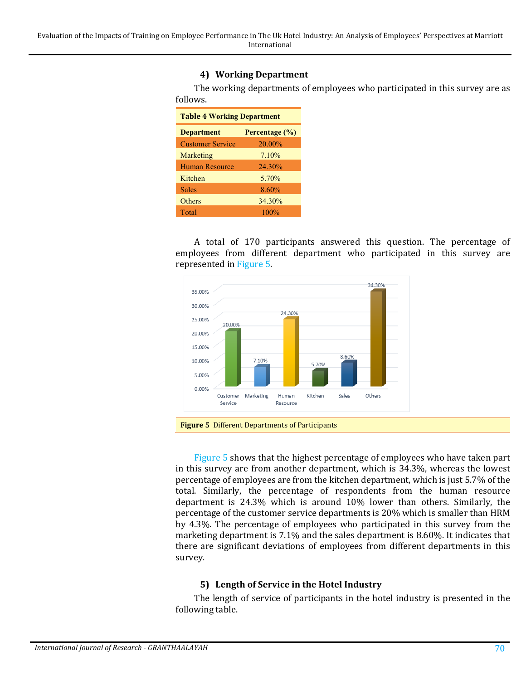### **4) Working Department**

The working departments of employees who participated in this survey are as follows.

| <b>Table 4 Working Department</b> |                |  |  |  |  |
|-----------------------------------|----------------|--|--|--|--|
| <b>Department</b>                 | Percentage (%) |  |  |  |  |
| <b>Customer Service</b>           | 20.00%         |  |  |  |  |
| Marketing                         | 7.10%          |  |  |  |  |
| <b>Human Resource</b>             | 24.30%         |  |  |  |  |
| Kitchen                           | 5.70%          |  |  |  |  |
| Sales                             | 8.60%          |  |  |  |  |
| Others                            | 34.30%         |  |  |  |  |
| Total                             | $100\%$        |  |  |  |  |

A total of 170 participants answered this question. The percentage of employees from different department who participated in this survey are represented in [Figure 5.](#page-13-0)



<span id="page-13-0"></span>

[Figure 5](#page-13-0) shows that the highest percentage of employees who have taken part in this survey are from another department, which is 34.3%, whereas the lowest percentage of employees are from the kitchen department, which is just 5.7% of the total. Similarly, the percentage of respondents from the human resource department is 24.3% which is around 10% lower than others. Similarly, the percentage of the customer service departments is 20% which is smaller than HRM by 4.3%. The percentage of employees who participated in this survey from the marketing department is 7.1% and the sales department is 8.60%. It indicates that there are significant deviations of employees from different departments in this survey.

#### **5) Length of Service in the Hotel Industry**

The length of service of participants in the hotel industry is presented in the following table.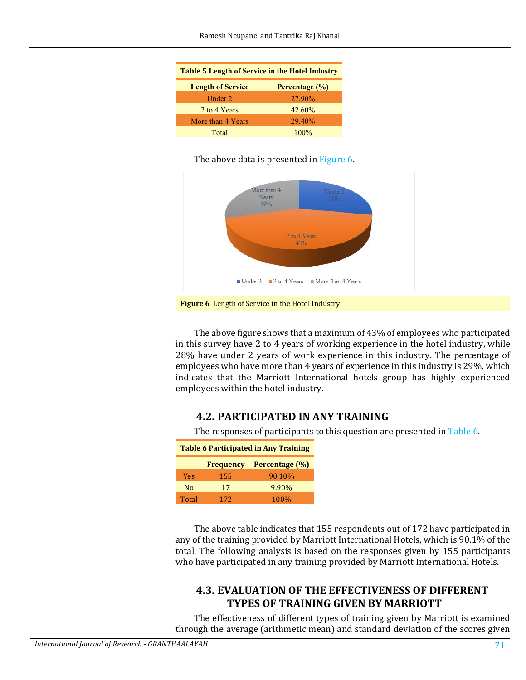| <b>Table 5 Length of Service in the Hotel Industry</b> |                |  |  |  |  |  |
|--------------------------------------------------------|----------------|--|--|--|--|--|
| <b>Length of Service</b>                               | Percentage (%) |  |  |  |  |  |
| Under $2$                                              | 27.90%         |  |  |  |  |  |
| 2 to 4 Years                                           | 42.60%         |  |  |  |  |  |
| More than 4 Years                                      | 29.40%         |  |  |  |  |  |
| Total                                                  | $100\%$        |  |  |  |  |  |

#### The above data is presented in [Figure 6.](#page-14-0)



<span id="page-14-0"></span>The above figure shows that a maximum of 43% of employees who participated in this survey have 2 to 4 years of working experience in the hotel industry, while 28% have under 2 years of work experience in this industry. The percentage of employees who have more than 4 years of experience in this industry is 29%, which indicates that the Marriott International hotels group has highly experienced employees within the hotel industry.

# **4.2. PARTICIPATED IN ANY TRAINING**

The responses of participants to this question are presented in [Table 6.](#page-14-1)

<span id="page-14-1"></span>

| <b>Table 6 Participated in Any Training</b> |                  |                |  |  |  |  |
|---------------------------------------------|------------------|----------------|--|--|--|--|
|                                             | <b>Frequency</b> | Percentage (%) |  |  |  |  |
| <b>Yes</b>                                  | 155              | 90.10%         |  |  |  |  |
| N <sub>0</sub>                              | 17               | 9.90%          |  |  |  |  |
| Total                                       | 172              | 100%           |  |  |  |  |

The above table indicates that 155 respondents out of 172 have participated in any of the training provided by Marriott International Hotels, which is 90.1% of the total. The following analysis is based on the responses given by 155 participants who have participated in any training provided by Marriott International Hotels.

# **4.3. EVALUATION OF THE EFFECTIVENESS OF DIFFERENT TYPES OF TRAINING GIVEN BY MARRIOTT**

The effectiveness of different types of training given by Marriott is examined through the average (arithmetic mean) and standard deviation of the scores given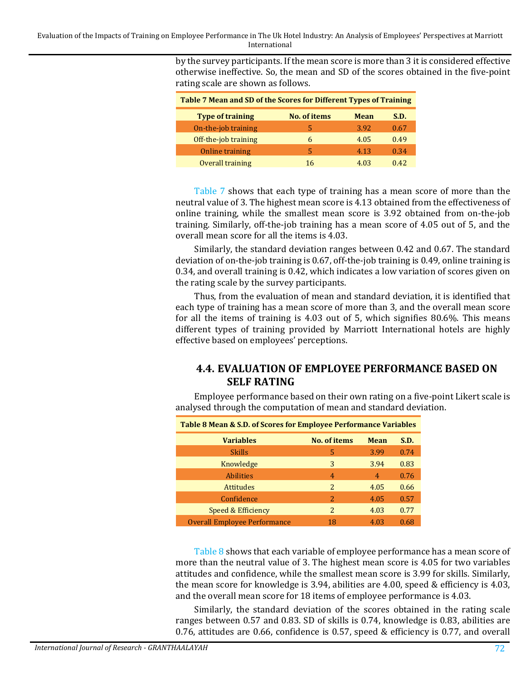Evaluation of the Impacts of Training on Employee Performance in The Uk Hotel Industry: An Analysis of Employees' Perspectives at Marriott International

> by the survey participants. If the mean score is more than 3 it is considered effective otherwise ineffective. So, the mean and SD of the scores obtained in the five-point rating scale are shown as follows.

<span id="page-15-0"></span>

| Table 7 Mean and SD of the Scores for Different Types of Training |                     |             |      |  |  |  |  |  |
|-------------------------------------------------------------------|---------------------|-------------|------|--|--|--|--|--|
| <b>Type of training</b>                                           | <b>No. of items</b> | <b>Mean</b> | S.D. |  |  |  |  |  |
| On-the-job training                                               | 5                   | 3.92        | 0.67 |  |  |  |  |  |
| Off-the-job training                                              | 6                   | 4.05        | 0.49 |  |  |  |  |  |
| Online training                                                   | 5                   | 4.13        | 0.34 |  |  |  |  |  |
| Overall training                                                  | 16                  | 4.03        | 0.42 |  |  |  |  |  |

[Table 7](#page-15-0) shows that each type of training has a mean score of more than the neutral value of 3. The highest mean score is 4.13 obtained from the effectiveness of online training, while the smallest mean score is 3.92 obtained from on-the-job training. Similarly, off-the-job training has a mean score of 4.05 out of 5, and the overall mean score for all the items is 4.03.

Similarly, the standard deviation ranges between 0.42 and 0.67. The standard deviation of on-the-job training is 0.67, off-the-job training is 0.49, online training is 0.34, and overall training is 0.42, which indicates a low variation of scores given on the rating scale by the survey participants.

Thus, from the evaluation of mean and standard deviation, it is identified that each type of training has a mean score of more than 3, and the overall mean score for all the items of training is 4.03 out of 5, which signifies 80.6%. This means different types of training provided by Marriott International hotels are highly effective based on employees' perceptions.

# **4.4. EVALUATION OF EMPLOYEE PERFORMANCE BASED ON SELF RATING**

Employee performance based on their own rating on a five-point Likert scale is analysed through the computation of mean and standard deviation.

<span id="page-15-1"></span>

| Table 8 Mean & S.D. of Scores for Employee Performance Variables |                |             |      |  |  |  |  |
|------------------------------------------------------------------|----------------|-------------|------|--|--|--|--|
| <b>Variables</b>                                                 | No. of items   | <b>Mean</b> | S.D. |  |  |  |  |
| <b>Skills</b>                                                    | 5              | 3.99        | 0.74 |  |  |  |  |
| Knowledge                                                        | 3              | 3.94        | 0.83 |  |  |  |  |
| <b>Abilities</b>                                                 | $\overline{4}$ | 4           | 0.76 |  |  |  |  |
| <b>Attitudes</b>                                                 | 2              | 4.05        | 0.66 |  |  |  |  |
| Confidence                                                       | 2              | 4.05        | 0.57 |  |  |  |  |
| Speed & Efficiency                                               | 2              | 4.03        | 0.77 |  |  |  |  |
| <b>Overall Employee Performance</b>                              | 18             | 4.03        | 0.68 |  |  |  |  |

[Table 8](#page-15-1) shows that each variable of employee performance has a mean score of more than the neutral value of 3. The highest mean score is 4.05 for two variables attitudes and confidence, while the smallest mean score is 3.99 for skills. Similarly, the mean score for knowledge is 3.94, abilities are 4.00, speed & efficiency is 4.03, and the overall mean score for 18 items of employee performance is 4.03.

Similarly, the standard deviation of the scores obtained in the rating scale ranges between 0.57 and 0.83. SD of skills is 0.74, knowledge is 0.83, abilities are 0.76, attitudes are 0.66, confidence is 0.57, speed & efficiency is 0.77, and overall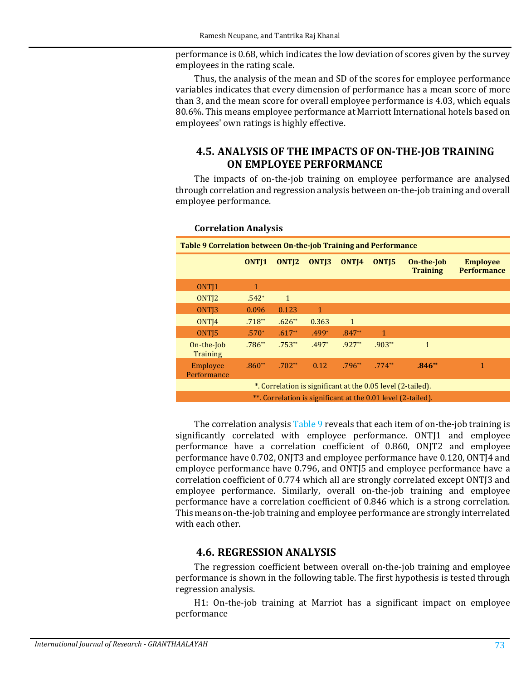performance is 0.68, which indicates the low deviation of scores given by the survey employees in the rating scale.

Thus, the analysis of the mean and SD of the scores for employee performance variables indicates that every dimension of performance has a mean score of more than 3, and the mean score for overall employee performance is 4.03, which equals 80.6%. This means employee performance at Marriott International hotels based on employees' own ratings is highly effective.

# **4.5. ANALYSIS OF THE IMPACTS OF ON-THE-JOB TRAINING ON EMPLOYEE PERFORMANCE**

The impacts of on-the-job training on employee performance are analysed through correlation and regression analysis between on-the-job training and overall employee performance.

<span id="page-16-0"></span>

| Table 9 Correlation between On-the-job Training and Performance |                                                                                                                                                                                |              |         |              |                                                             |              |   |  |  |  |
|-----------------------------------------------------------------|--------------------------------------------------------------------------------------------------------------------------------------------------------------------------------|--------------|---------|--------------|-------------------------------------------------------------|--------------|---|--|--|--|
|                                                                 | ONT <sub>1</sub><br>ONT <sub>13</sub><br>ONT <sub>12</sub><br>ONT <sub>14</sub><br>ONT <sub>15</sub><br>On-the-Job<br><b>Employee</b><br><b>Performance</b><br><b>Training</b> |              |         |              |                                                             |              |   |  |  |  |
| ONT <sub>I1</sub>                                               | 1                                                                                                                                                                              |              |         |              |                                                             |              |   |  |  |  |
| ONT <sub>12</sub>                                               | $.542*$                                                                                                                                                                        | $\mathbf{1}$ |         |              |                                                             |              |   |  |  |  |
| ONT <sub>13</sub>                                               | 0.096                                                                                                                                                                          | 0.123        | 1       |              |                                                             |              |   |  |  |  |
| ONT <sub>I4</sub>                                               | $.718**$                                                                                                                                                                       | $.626**$     | 0.363   | $\mathbf{1}$ |                                                             |              |   |  |  |  |
| ONT <sub>15</sub>                                               | $.570*$                                                                                                                                                                        | $.617**$     | $.499*$ | $.847**$     | 1                                                           |              |   |  |  |  |
| On-the-Job<br>Training                                          | $.786**$                                                                                                                                                                       | $.753**$     | $.497*$ | $.927**$     | $.903**$                                                    | $\mathbf{1}$ |   |  |  |  |
| Employee<br>Performance                                         | $.860**$                                                                                                                                                                       | $.702**$     | 0.12    | $.796**$     | $.774**$                                                    | $.846**$     | 1 |  |  |  |
|                                                                 |                                                                                                                                                                                |              |         |              | *. Correlation is significant at the 0.05 level (2-tailed). |              |   |  |  |  |
| **. Correlation is significant at the 0.01 level (2-tailed).    |                                                                                                                                                                                |              |         |              |                                                             |              |   |  |  |  |

#### **Correlation Analysis**

The correlation analysi[s Table 9](#page-16-0) reveals that each item of on-the-job training is significantly correlated with employee performance. ONT[1 and employee performance have a correlation coefficient of 0.860, ONJT2 and employee performance have 0.702, ONJT3 and employee performance have 0.120, ONTJ4 and employee performance have 0.796, and ONTJ5 and employee performance have a correlation coefficient of 0.774 which all are strongly correlated except ONTJ3 and employee performance. Similarly, overall on-the-job training and employee performance have a correlation coefficient of 0.846 which is a strong correlation. This means on-the-job training and employee performance are strongly interrelated with each other.

### **4.6. REGRESSION ANALYSIS**

The regression coefficient between overall on-the-job training and employee performance is shown in the following table. The first hypothesis is tested through regression analysis.

H1: On-the-job training at Marriot has a significant impact on employee performance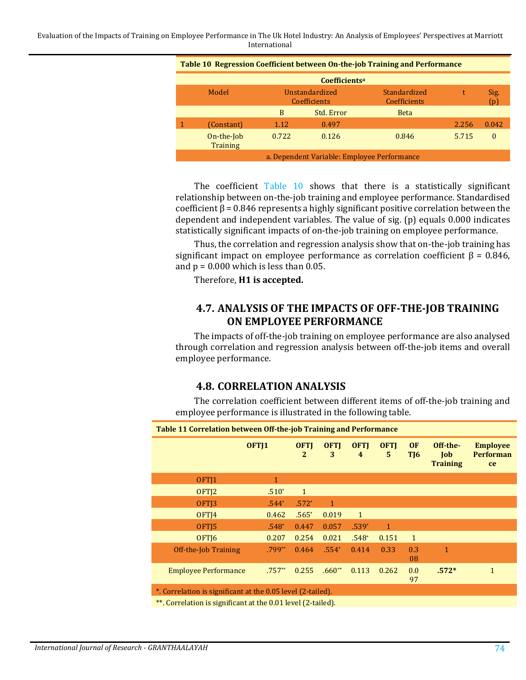Evaluation of the Impacts of Training on Employee Performance in The Uk Hotel Industry: An Analysis of Employees' Perspectives at Marriott International

<span id="page-17-0"></span>

| Table 10 Regression Coefficient between On-the-job Training and Performance |       |                                       |                              |       |                      |  |  |  |  |
|-----------------------------------------------------------------------------|-------|---------------------------------------|------------------------------|-------|----------------------|--|--|--|--|
| Coefficients <sup>a</sup>                                                   |       |                                       |                              |       |                      |  |  |  |  |
| Model                                                                       |       | Unstandardized<br><b>Coefficients</b> | Standardized<br>Coefficients | t     | Sig.<br>$\mathbf{D}$ |  |  |  |  |
|                                                                             | B     | Std. Error                            | <b>Beta</b>                  |       |                      |  |  |  |  |
| (Constant)                                                                  | 1.12  | 0.497                                 |                              | 2.256 | 0.042                |  |  |  |  |
| On-the-Job<br><b>Training</b>                                               | 0.722 | 0.126                                 | 0.846                        | 5.715 | $\Omega$             |  |  |  |  |
| a. Dependent Variable: Employee Performance                                 |       |                                       |                              |       |                      |  |  |  |  |

The coefficient [Table 10](#page-17-0) shows that there is a statistically significant relationship between on-the-job training and employee performance. Standardised coefficient β = 0.846 represents a highly significant positive correlation between the dependent and independent variables. The value of sig. (p) equals 0.000 indicates statistically significant impacts of on-the-job training on employee performance.

Thus, the correlation and regression analysis show that on-the-job training has significant impact on employee performance as correlation coefficient  $\beta$  = 0.846, and  $p = 0.000$  which is less than 0.05.

Therefore, **H1 is accepted.**

## **4.7. ANALYSIS OF THE IMPACTS OF OFF-THE-JOB TRAINING ON EMPLOYEE PERFORMANCE**

The impacts of off-the-job training on employee performance are also analysed through correlation and regression analysis between off-the-job items and overall employee performance.

# **4.8. CORRELATION ANALYSIS**

The correlation coefficient between different items of off-the-job training and employee performance is illustrated in the following table.

<span id="page-17-1"></span>

| Table 11 Correlation between Off-the-job Training and Performance |                  |                             |                  |                                        |                  |                  |                                    |                                                  |  |
|-------------------------------------------------------------------|------------------|-----------------------------|------------------|----------------------------------------|------------------|------------------|------------------------------------|--------------------------------------------------|--|
|                                                                   | OFT <sub>1</sub> | <b>OFTI</b><br>$\mathbf{2}$ | <b>OFTI</b><br>3 | <b>OFTI</b><br>$\overline{\mathbf{4}}$ | <b>OFTI</b><br>5 | <b>OF</b><br>TJ6 | Off-the-<br>Job<br><b>Training</b> | <b>Employee</b><br><b>Performan</b><br><b>ce</b> |  |
| OFT <sub>1</sub>                                                  | 1                |                             |                  |                                        |                  |                  |                                    |                                                  |  |
| OFT <sub>12</sub>                                                 | $.510*$          | $\mathbf{1}$                |                  |                                        |                  |                  |                                    |                                                  |  |
| OFT <sub>13</sub>                                                 | $.544*$          | $.572*$                     | 1                |                                        |                  |                  |                                    |                                                  |  |
| OFT <sub>14</sub>                                                 | 0.462            | $.565*$                     | 0.019            | $\mathbf{1}$                           |                  |                  |                                    |                                                  |  |
| OFT <sub>15</sub>                                                 | $.548*$          | 0.447                       | 0.057            | $.539*$                                | $\mathbf{1}$     |                  |                                    |                                                  |  |
| OFT <sub>16</sub>                                                 | 0.207            | 0.254                       | 0.021            | $.548*$                                | 0.151            | $\mathbf{1}$     |                                    |                                                  |  |
| Off-the-Job Training                                              | .799**           | 0.464                       | $.554*$          | 0.414                                  | 0.33             | 0.3<br>08        | $\mathbf{1}$                       |                                                  |  |
| <b>Employee Performance</b>                                       | $.757**$         | 0.255                       | $.660**$         | 0.113                                  | 0.262            | 0.0<br>97        | $.572*$                            | $\mathbf{1}$                                     |  |
| *. Correlation is significant at the 0.05 level (2-tailed).       |                  |                             |                  |                                        |                  |                  |                                    |                                                  |  |

\*\*. Correlation is significant at the 0.01 level (2-tailed).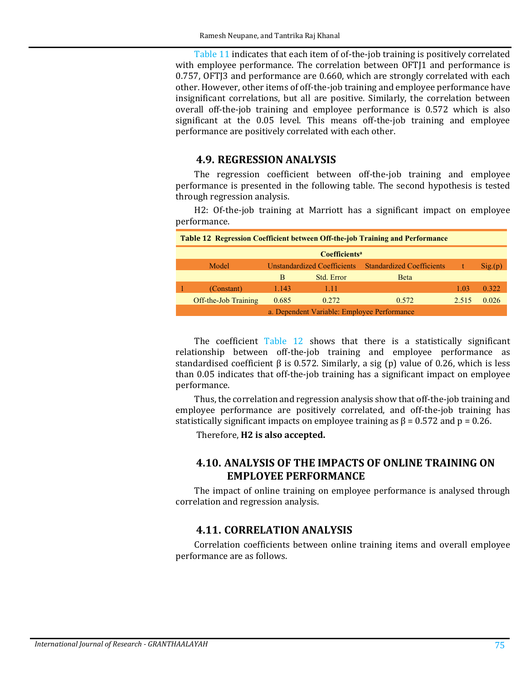[Table 11](#page-17-1) indicates that each item of of-the-job training is positively correlated with employee performance. The correlation between OFT[1 and performance is 0.757, OFTJ3 and performance are 0.660, which are strongly correlated with each other. However, other items of off-the-job training and employee performance have insignificant correlations, but all are positive. Similarly, the correlation between overall off-the-job training and employee performance is 0.572 which is also significant at the 0.05 level. This means off-the-job training and employee performance are positively correlated with each other.

### **4.9. REGRESSION ANALYSIS**

The regression coefficient between off-the-job training and employee performance is presented in the following table. The second hypothesis is tested through regression analysis.

H2: Of-the-job training at Marriott has a significant impact on employee performance.

<span id="page-18-0"></span>

| <b>Table 12 Regression Coefficient between Off-the-job Training and Performance</b> |                                             |                                    |            |                                  |       |        |  |  |  |
|-------------------------------------------------------------------------------------|---------------------------------------------|------------------------------------|------------|----------------------------------|-------|--------|--|--|--|
| <b>Coefficients<sup>a</sup></b>                                                     |                                             |                                    |            |                                  |       |        |  |  |  |
|                                                                                     | Model                                       | <b>Unstandardized Coefficients</b> |            | <b>Standardized Coefficients</b> |       | Sig(p) |  |  |  |
|                                                                                     |                                             | B                                  | Std. Error | <b>B</b> eta                     |       |        |  |  |  |
|                                                                                     | (Constant)                                  | 1.143                              | 1.11       |                                  | 1.03  | 0.322  |  |  |  |
|                                                                                     | Off-the-Job Training                        | 0.685                              | 0.272      | 0.572                            | 2.515 | 0.026  |  |  |  |
|                                                                                     | a. Dependent Variable: Employee Performance |                                    |            |                                  |       |        |  |  |  |

The coefficient Table  $12$  shows that there is a statistically significant relationship between off-the-job training and employee performance as standardised coefficient β is 0.572. Similarly, a sig (p) value of 0.26, which is less than 0.05 indicates that off-the-job training has a significant impact on employee performance.

Thus, the correlation and regression analysis show that off-the-job training and employee performance are positively correlated, and off-the-job training has statistically significant impacts on employee training as  $\beta$  = 0.572 and p = 0.26.

Therefore, **H2 is also accepted.**

# **4.10. ANALYSIS OF THE IMPACTS OF ONLINE TRAINING ON EMPLOYEE PERFORMANCE**

The impact of online training on employee performance is analysed through correlation and regression analysis.

## **4.11. CORRELATION ANALYSIS**

Correlation coefficients between online training items and overall employee performance are as follows.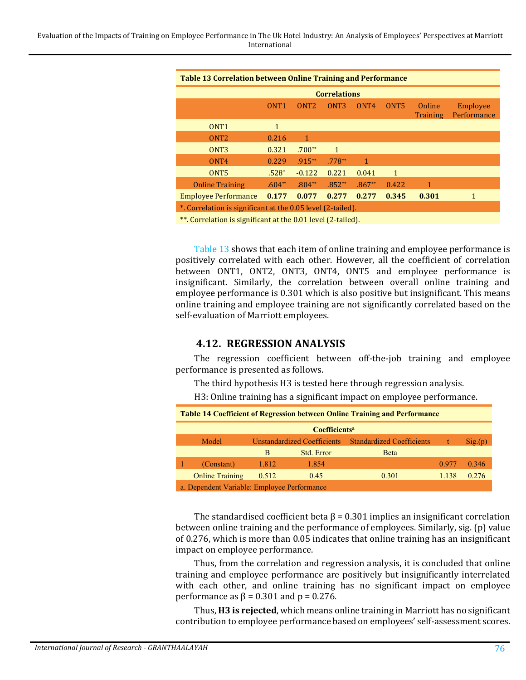<span id="page-19-0"></span>

| <b>Table 13 Correlation between Online Training and Performance</b> |                  |                  |                  |                  |                  |                    |                         |  |  |
|---------------------------------------------------------------------|------------------|------------------|------------------|------------------|------------------|--------------------|-------------------------|--|--|
| <b>Correlations</b>                                                 |                  |                  |                  |                  |                  |                    |                         |  |  |
|                                                                     | ONT <sub>1</sub> | ONT <sub>2</sub> | ONT <sub>3</sub> | ONT <sub>4</sub> | ONT <sub>5</sub> | Online<br>Training | Employee<br>Performance |  |  |
| ONT <sub>1</sub>                                                    | 1                |                  |                  |                  |                  |                    |                         |  |  |
| ONT <sub>2</sub>                                                    | 0.216            | 1                |                  |                  |                  |                    |                         |  |  |
| ONT <sub>3</sub>                                                    | 0.321            | $.700**$         | $\mathbf{1}$     |                  |                  |                    |                         |  |  |
| ONT <sub>4</sub>                                                    | 0.229            | $.915***$        | $.778**$         | 1                |                  |                    |                         |  |  |
| ONT <sub>5</sub>                                                    | $.528*$          | $-0.122$         | 0.221            | 0.041            | $\mathbf{1}$     |                    |                         |  |  |
| <b>Online Training</b>                                              | $.604**$         | $.804**$         | $.852**$         | $.867**$         | 0.422            | 1                  |                         |  |  |
| <b>Employee Performance</b>                                         | 0.177            | 0.077            | 0.277            | 0.277            | 0.345            | 0.301              |                         |  |  |
| *. Correlation is significant at the 0.05 level (2-tailed).         |                  |                  |                  |                  |                  |                    |                         |  |  |

\*\*. Correlation is significant at the 0.01 level (2-tailed).

[Table 13](#page-19-0) shows that each item of online training and employee performance is positively correlated with each other. However, all the coefficient of correlation between ONT1, ONT2, ONT3, ONT4, ONT5 and employee performance is insignificant. Similarly, the correlation between overall online training and employee performance is 0.301 which is also positive but insignificant. This means online training and employee training are not significantly correlated based on the self-evaluation of Marriott employees.

## **4.12. REGRESSION ANALYSIS**

The regression coefficient between off-the-job training and employee performance is presented as follows.

The third hypothesis H3 is tested here through regression analysis.

H3: Online training has a significant impact on employee performance.

| <b>Table 14 Coefficient of Regression between Online Training and Performance</b> |                                             |       |                             |                                  |              |        |  |  |  |
|-----------------------------------------------------------------------------------|---------------------------------------------|-------|-----------------------------|----------------------------------|--------------|--------|--|--|--|
| <b>Coefficients<sup>a</sup></b>                                                   |                                             |       |                             |                                  |              |        |  |  |  |
|                                                                                   | Model                                       |       | Unstandardized Coefficients | <b>Standardized Coefficients</b> | $^{\dagger}$ | Sig(p) |  |  |  |
|                                                                                   |                                             | B     | Std. Error                  | <b>B</b> eta                     |              |        |  |  |  |
|                                                                                   | (Constant)                                  | 1.812 | 1.854                       |                                  | 0.977        | 0.346  |  |  |  |
|                                                                                   | <b>Online Training</b>                      | 0.512 | 0.45                        | 0.301                            | 1.138        | 0.276  |  |  |  |
|                                                                                   | a. Dependent Variable: Employee Performance |       |                             |                                  |              |        |  |  |  |

The standardised coefficient beta  $\beta$  = 0.301 implies an insignificant correlation between online training and the performance of employees. Similarly, sig. (p) value of 0.276, which is more than 0.05 indicates that online training has an insignificant impact on employee performance.

Thus, from the correlation and regression analysis, it is concluded that online training and employee performance are positively but insignificantly interrelated with each other, and online training has no significant impact on employee performance as  $\beta$  = 0.301 and p = 0.276.

Thus, **H3 is rejected**, which means online training in Marriott has no significant contribution to employee performance based on employees' self-assessment scores.

l,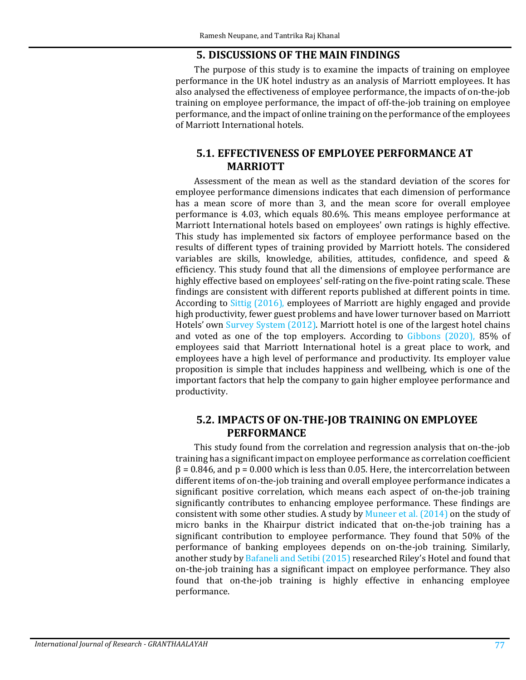#### **5. DISCUSSIONS OF THE MAIN FINDINGS**

The purpose of this study is to examine the impacts of training on employee performance in the UK hotel industry as an analysis of Marriott employees. It has also analysed the effectiveness of employee performance, the impacts of on-the-job training on employee performance, the impact of off-the-job training on employee performance, and the impact of online training on the performance of the employees of Marriott International hotels.

### **5.1. EFFECTIVENESS OF EMPLOYEE PERFORMANCE AT MARRIOTT**

Assessment of the mean as well as the standard deviation of the scores for employee performance dimensions indicates that each dimension of performance has a mean score of more than 3, and the mean score for overall employee performance is 4.03, which equals 80.6%. This means employee performance at Marriott International hotels based on employees' own ratings is highly effective. This study has implemented six factors of employee performance based on the results of different types of training provided by Marriott hotels. The considered variables are skills, knowledge, abilities, attitudes, confidence, and speed & efficiency. This study found that all the dimensions of employee performance are highly effective based on employees' self-rating on the five-point rating scale. These findings are consistent with different reports published at different points in time. According to [Sittig \(2016\),](#page-27-13) employees of Marriott are highly engaged and provide high productivity, fewer guest problems and have lower turnover based on Marriott Hotels' own [Survey System \(2012\).](#page-28-9) Marriott hotel is one of the largest hotel chains and voted as one of the top employers. According to [Gibbons \(2020\),](#page-24-10) 85% of employees said that Marriott International hotel is a great place to work, and employees have a high level of performance and productivity. Its employer value proposition is simple that includes happiness and wellbeing, which is one of the important factors that help the company to gain higher employee performance and productivity.

### **5.2. IMPACTS OF ON-THE-JOB TRAINING ON EMPLOYEE PERFORMANCE**

This study found from the correlation and regression analysis that on-the-job training has a significant impact on employee performance as correlation coefficient  $\beta$  = 0.846, and p = 0.000 which is less than 0.05. Here, the intercorrelation between different items of on-the-job training and overall employee performance indicates a significant positive correlation, which means each aspect of on-the-job training significantly contributes to enhancing employee performance. These findings are consistent with some other studies. A study by [Muneer et al. \(2014\)](#page-26-12) on the study of micro banks in the Khairpur district indicated that on-the-job training has a significant contribution to employee performance. They found that 50% of the performance of banking employees depends on on-the-job training. Similarly, another study by [Bafaneli and Setibi \(2015\)](#page-23-11) researched Riley's Hotel and found that on-the-job training has a significant impact on employee performance. They also found that on-the-job training is highly effective in enhancing employee performance.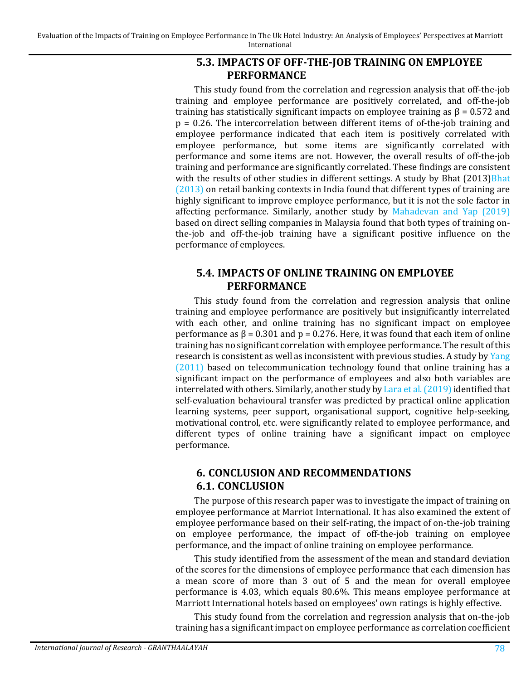# **5.3. IMPACTS OF OFF-THE-JOB TRAINING ON EMPLOYEE PERFORMANCE**

This study found from the correlation and regression analysis that off-the-job training and employee performance are positively correlated, and off-the-job training has statistically significant impacts on employee training as  $β = 0.572$  and p = 0.26. The intercorrelation between different items of of-the-job training and employee performance indicated that each item is positively correlated with employee performance, but some items are significantly correlated with performance and some items are not. However, the overall results of off-the-job training and performance are significantly correlated. These findings are consistent with the results of other studies in different settings. A study by Bhat (2013) Bhat [\(2013\)](#page-23-12) on retail banking contexts in India found that different types of training are highly significant to improve employee performance, but it is not the sole factor in affecting performance. Similarly, another study by [Mahadevan and Yap \(2019\)](#page-26-13) based on direct selling companies in Malaysia found that both types of training onthe-job and off-the-job training have a significant positive influence on the performance of employees.

# **5.4. IMPACTS OF ONLINE TRAINING ON EMPLOYEE PERFORMANCE**

This study found from the correlation and regression analysis that online training and employee performance are positively but insignificantly interrelated with each other, and online training has no significant impact on employee performance as β = 0.301 and p = 0.276. Here, it was found that each item of online training has no significant correlation with employee performance. The result of this research is consistent as well as inconsistent with previous studies. A study by [Yang](#page-28-10)  [\(2011\)](#page-28-10) based on telecommunication technology found that online training has a significant impact on the performance of employees and also both variables are interrelated with others. Similarly, another study by Lara et al.  $(2019)$  identified that self-evaluation behavioural transfer was predicted by practical online application learning systems, peer support, organisational support, cognitive help-seeking, motivational control, etc. were significantly related to employee performance, and different types of online training have a significant impact on employee performance.

# **6. CONCLUSION AND RECOMMENDATIONS 6.1. CONCLUSION**

The purpose of this research paper was to investigate the impact of training on employee performance at Marriot International. It has also examined the extent of employee performance based on their self-rating, the impact of on-the-job training on employee performance, the impact of off-the-job training on employee performance, and the impact of online training on employee performance.

This study identified from the assessment of the mean and standard deviation of the scores for the dimensions of employee performance that each dimension has a mean score of more than 3 out of 5 and the mean for overall employee performance is 4.03, which equals 80.6%. This means employee performance at Marriott International hotels based on employees' own ratings is highly effective.

This study found from the correlation and regression analysis that on-the-job training has a significant impact on employee performance as correlation coefficient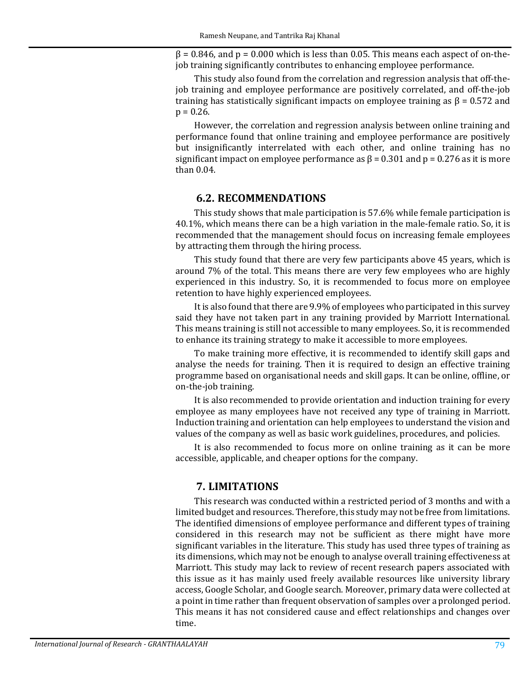$\beta$  = 0.846, and p = 0.000 which is less than 0.05. This means each aspect of on-thejob training significantly contributes to enhancing employee performance.

This study also found from the correlation and regression analysis that off-thejob training and employee performance are positively correlated, and off-the-job training has statistically significant impacts on employee training as  $\beta = 0.572$  and  $p = 0.26$ .

However, the correlation and regression analysis between online training and performance found that online training and employee performance are positively but insignificantly interrelated with each other, and online training has no significant impact on employee performance as  $\beta$  = 0.301 and p = 0.276 as it is more than 0.04.

#### **6.2. RECOMMENDATIONS**

This study shows that male participation is 57.6% while female participation is 40.1%, which means there can be a high variation in the male-female ratio. So, it is recommended that the management should focus on increasing female employees by attracting them through the hiring process.

This study found that there are very few participants above 45 years, which is around 7% of the total. This means there are very few employees who are highly experienced in this industry. So, it is recommended to focus more on employee retention to have highly experienced employees.

It is also found that there are 9.9% of employees who participated in this survey said they have not taken part in any training provided by Marriott International. This means training is still not accessible to many employees. So, it is recommended to enhance its training strategy to make it accessible to more employees.

To make training more effective, it is recommended to identify skill gaps and analyse the needs for training. Then it is required to design an effective training programme based on organisational needs and skill gaps. It can be online, offline, or on-the-job training.

It is also recommended to provide orientation and induction training for every employee as many employees have not received any type of training in Marriott. Induction training and orientation can help employees to understand the vision and values of the company as well as basic work guidelines, procedures, and policies.

It is also recommended to focus more on online training as it can be more accessible, applicable, and cheaper options for the company.

#### **7. LIMITATIONS**

This research was conducted within a restricted period of 3 months and with a limited budget and resources. Therefore, this study may not be free from limitations. The identified dimensions of employee performance and different types of training considered in this research may not be sufficient as there might have more significant variables in the literature. This study has used three types of training as its dimensions, which may not be enough to analyse overall training effectiveness at Marriott. This study may lack to review of recent research papers associated with this issue as it has mainly used freely available resources like university library access, Google Scholar, and Google search. Moreover, primary data were collected at a point in time rather than frequent observation of samples over a prolonged period. This means it has not considered cause and effect relationships and changes over time.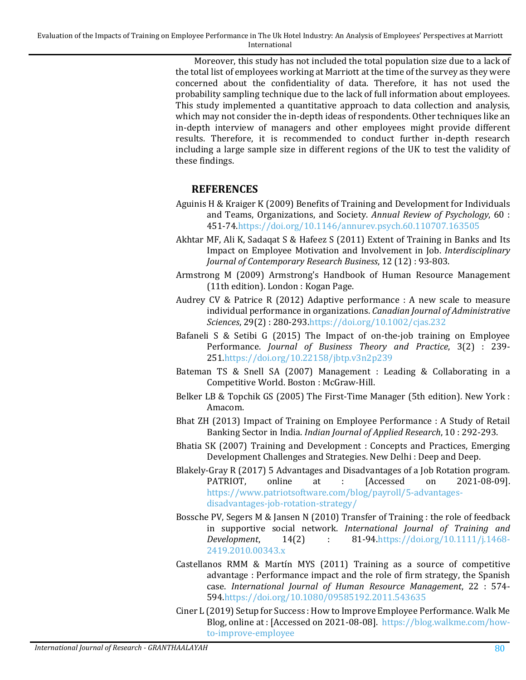Moreover, this study has not included the total population size due to a lack of the total list of employees working at Marriott at the time of the survey as they were concerned about the confidentiality of data. Therefore, it has not used the probability sampling technique due to the lack of full information about employees. This study implemented a quantitative approach to data collection and analysis, which may not consider the in-depth ideas of respondents. Other techniques like an in-depth interview of managers and other employees might provide different results. Therefore, it is recommended to conduct further in-depth research including a large sample size in different regions of the UK to test the validity of these findings.

# **REFERENCES**

- <span id="page-23-2"></span>Aguinis H & Kraiger K (2009) Benefits of Training and Development for Individuals and Teams, Organizations, and Society. *Annual Review of Psychology*, 60 : 451-7[4.https://doi.org/10.1146/annurev.psych.60.110707.163505](https://doi.org/10.1146/annurev.psych.60.110707.163505)
- <span id="page-23-4"></span>Akhtar MF, Ali K, Sadaqat S & Hafeez S (2011) Extent of Training in Banks and Its Impact on Employee Motivation and Involvement in Job. *Interdisciplinary Journal of Contemporary Research Business*, 12 (12) : 93-803.
- <span id="page-23-1"></span>Armstrong M (2009) Armstrong's Handbook of Human Resource Management (11th edition). London : Kogan Page.
- <span id="page-23-9"></span>Audrey CV & Patrice R (2012) Adaptive performance : A new scale to measure individual performance in organizations. *Canadian Journal of Administrative Sciences*, 29(2) : 280-29[3.https://doi.org/10.1002/cjas.232](https://doi.org/10.1002/cjas.232)
- <span id="page-23-11"></span>Bafaneli S & Setibi G (2015) The Impact of on-the-job training on Employee Performance. *Journal of Business Theory and Practice*, 3(2) : 239- 25[1.https://doi.org/10.22158/jbtp.v3n2p239](https://doi.org/10.22158/jbtp.v3n2p239)
- <span id="page-23-7"></span>Bateman TS & Snell SA (2007) Management : Leading & Collaborating in a Competitive World. Boston : McGraw-Hill.
- <span id="page-23-10"></span>Belker LB & Topchik GS (2005) The First-Time Manager (5th edition). New York : Amacom.
- <span id="page-23-12"></span>Bhat ZH (2013) Impact of Training on Employee Performance : A Study of Retail Banking Sector in India. *Indian Journal of Applied Research*, 10 : 292-293.
- <span id="page-23-5"></span>Bhatia SK (2007) Training and Development : Concepts and Practices, Emerging Development Challenges and Strategies. New Delhi : Deep and Deep.
- <span id="page-23-6"></span>Blakely-Gray R (2017) 5 Advantages and Disadvantages of a Job Rotation program.<br>PATRIOT, online at : [Accessed on 2021-08-09]. PATRIOT, online at : [Accessed on 2021-08-09]. [https://www.patriotsoftware.com/blog/payroll/5-advantages](https://www.patriotsoftware.com/blog/payroll/5-advantages-disadvantages-job-rotation-strategy/)[disadvantages-job-rotation-strategy/](https://www.patriotsoftware.com/blog/payroll/5-advantages-disadvantages-job-rotation-strategy/)
- <span id="page-23-3"></span>Bossche PV, Segers M & Jansen N (2010) Transfer of Training : the role of feedback in supportive social network. *International Journal of Training and Development*, 14(2) : 81-94[.https://doi.org/10.1111/j.1468-](https://doi.org/10.1111/j.1468-2419.2010.00343.x) [2419.2010.00343.x](https://doi.org/10.1111/j.1468-2419.2010.00343.x)
- <span id="page-23-0"></span>Castellanos RMM & Martín MYS (2011) Training as a source of competitive advantage : Performance impact and the role of firm strategy, the Spanish case. *International Journal of Human Resource Management*, 22 : 574- 59[4.https://doi.org/10.1080/09585192.2011.543635](https://doi.org/10.1080/09585192.2011.543635)
- <span id="page-23-8"></span>Ciner L (2019) Setup for Success : How to Improve Employee Performance. Walk Me Blog, online at : [Accessed on 2021-08-08]. [https://blog.walkme.com/how](https://blog.walkme.com/how-to-improve-employee%20performance/#:%7E:text=Employee%20performance%20is%20defined%20as,employee%20is%20to%20the%20organization)[to-improve-employee](https://blog.walkme.com/how-to-improve-employee%20performance/#:%7E:text=Employee%20performance%20is%20defined%20as,employee%20is%20to%20the%20organization)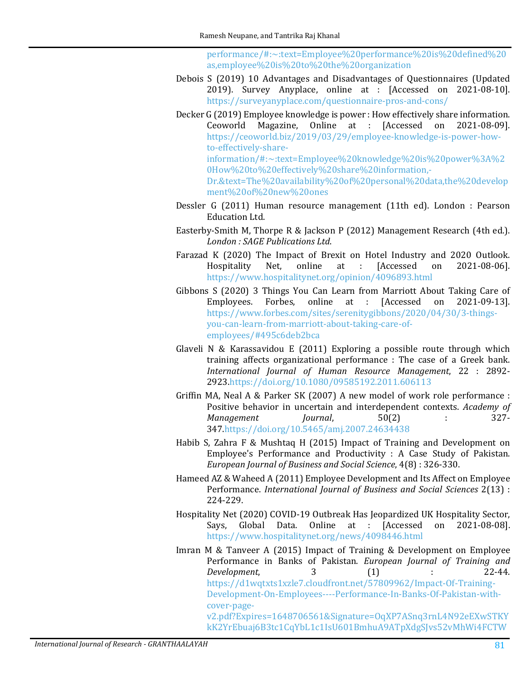[performance/#:~:text=Employee%20performance%20](https://blog.walkme.com/how-to-improve-employee%20performance/#:%7E:text=Employee%20performance%20is%20defined%20as,employee%20is%20to%20the%20organization)is%20defined%20 [as,employee%20is%20to%20the%20organization](https://blog.walkme.com/how-to-improve-employee%20performance/#:%7E:text=Employee%20performance%20is%20defined%20as,employee%20is%20to%20the%20organization)

- <span id="page-24-9"></span>Debois S (2019) 10 Advantages and Disadvantages of Questionnaires (Updated 2019). Survey Anyplace, online at : [Accessed on 2021-08-10]. <https://surveyanyplace.com/questionnaire-pros-and-cons/>
- <span id="page-24-8"></span>Decker G (2019) Employee knowledge is power : How effectively share information. Ceoworld Magazine, Online at : [Accessed on 2021-08-09]. [https://ceoworld.biz/2019/03/29/employee-knowledge-is-power-how](https://ceoworld.biz/2019/03/29/employee-knowledge-is-power-how-to-effectively-share-information/#:%7E:text=Employee%20knowledge%20is%20power%3A%20How%20to%20effectively%20share%20information,-Dr.&text=The%20availability%20of%20personal%20data,the%20development%20of%20new%20ones)to-effectively-share[information/#:~:text=Employee%20knowledge%20is%20power%3A%2](https://ceoworld.biz/2019/03/29/employee-knowledge-is-power-how-to-effectively-share-information/#:%7E:text=Employee%20knowledge%20is%20power%3A%20How%20to%20effectively%20share%20information,-Dr.&text=The%20availability%20of%20personal%20data,the%20development%20of%20new%20ones) [0How%20to%20effectively%20share%20information,-](https://ceoworld.biz/2019/03/29/employee-knowledge-is-power-how-to-effectively-share-information/#:%7E:text=Employee%20knowledge%20is%20power%3A%20How%20to%20effectively%20share%20information,-Dr.&text=The%20availability%20of%20personal%20data,the%20development%20of%20new%20ones) [Dr.&text=The%20availability%20of%20personal%20data,the%20develop](https://ceoworld.biz/2019/03/29/employee-knowledge-is-power-how-to-effectively-share-information/#:%7E:text=Employee%20knowledge%20is%20power%3A%20How%20to%20effectively%20share%20information,-Dr.&text=The%20availability%20of%20personal%20data,the%20development%20of%20new%20ones) [ment%20of%20new%20ones](https://ceoworld.biz/2019/03/29/employee-knowledge-is-power-how-to-effectively-share-information/#:%7E:text=Employee%20knowledge%20is%20power%3A%20How%20to%20effectively%20share%20information,-Dr.&text=The%20availability%20of%20personal%20data,the%20development%20of%20new%20ones)
- <span id="page-24-5"></span>Dessler G (2011) Human resource management (11th ed). London : Pearson Education Ltd.
- Easterby-Smith M, Thorpe R & Jackson P (2012) Management Research (4th ed.). *London : SAGE Publications Ltd*.
- <span id="page-24-1"></span>Farazad K (2020) The Impact of Brexit on Hotel Industry and 2020 Outlook.<br>Hospitality Net, online at : [Accessed on 2021-08-06]. Hospitality Net, <https://www.hospitalitynet.org/opinion/4096893.html>
- <span id="page-24-10"></span>Gibbons S (2020) 3 Things You Can Learn from Marriott About Taking Care of<br>Employees. Forbes, online at : [Accessed on 2021-09-13]. Employees. Forbes, online at : [Accessed [https://www.forbes.com/sites/serenitygibbons/2020/04/30/3-things](https://www.forbes.com/sites/serenitygibbons/2020/04/30/3-things-you-can-learn-from-marriott-about-taking-care-of-employees/#495c6deb2bca)[you-can-learn-from-marriott-about-taking-care-of](https://www.forbes.com/sites/serenitygibbons/2020/04/30/3-things-you-can-learn-from-marriott-about-taking-care-of-employees/#495c6deb2bca)[employees/#495c6deb2bca](https://www.forbes.com/sites/serenitygibbons/2020/04/30/3-things-you-can-learn-from-marriott-about-taking-care-of-employees/#495c6deb2bca)
- <span id="page-24-0"></span>Glaveli N & Karassavidou E (2011) Exploring a possible route through which training affects organizational performance : The case of a Greek bank. *International Journal of Human Resource Management*, 22 : 2892- 292[3.https://doi.org/10.1080/09585192.2011.606113](https://doi.org/10.1080/09585192.2011.606113)
- <span id="page-24-7"></span>Griffin MA, Neal A & Parker SK (2007) A new model of work role performance : Positive behavior in uncertain and interdependent contexts. *Academy of Management Journal*, 50(2) : 327-*Management* 34[7.https://doi.org/10.5465/amj.2007.24634438](https://doi.org/10.5465/amj.2007.24634438)
- <span id="page-24-3"></span>Habib S, Zahra F & Mushtaq H (2015) Impact of Training and Development on Employee's Performance and Productivity : A Case Study of Pakistan. *European Journal of Business and Social Science*, 4(8) : 326-330.
- <span id="page-24-6"></span>Hameed AZ & Waheed A (2011) Employee Development and Its Affect on Employee Performance. *International Journal of Business and Social Sciences* 2(13) : 224-229.
- <span id="page-24-2"></span>Hospitality Net (2020) COVID-19 Outbreak Has Jeopardized UK Hospitality Sector, Data. Online at : [Accessed on <https://www.hospitalitynet.org/news/4098446.html>
- <span id="page-24-4"></span>Imran M & Tanveer A (2015) Impact of Training & Development on Employee Performance in Banks of Pakistan. *European Journal of Training and Development*, [https://d1wqtxts1xzle7.cloudfront.net/57809962/Impact-Of-Training-](https://d1wqtxts1xzle7.cloudfront.net/57809962/Impact-Of-Training-Development-On-Employees----Performance-In-Banks-Of-Pakistan-with-cover-page-v2.pdf?Expires=1648706561&Signature=OqXP7ASnq3rnL4N92eEXwSTKYkK2YrEbuaj6B3tc1CqYbL1c1IsU601BmhuA9ATpXdgSJvs52vMhWi4FCTWFy3zLKk%7EoE6bMbHsR1WiQXFhVJaCo14SzjW9BLptv5UgefZQ7m1jvPX1hkauoYK7FOy-COs6LkaDP78Z7Pu64AZvxCTvVbdXPMXMCvSOhMYtloLDvKS3X0aAhDfUL2haTH9rIjhcRF0rH8r5qUva1Jmk2-DpGX-sUsTZ68rh%7EdYwzccXB5c0S%7EHU%7ErB5HFEgoy53sWSyZiVgRbW9fPS8BvJ20mdzggMTSLX40jXtk1tKlUFf2nmDF7Ajy5UwuCHmpYQ__&Key-Pair-Id=APKAJLOHF5GGSLRBV4ZA)[Development-On-Employees----Performance-In-Banks-Of-Pakistan-with](https://d1wqtxts1xzle7.cloudfront.net/57809962/Impact-Of-Training-Development-On-Employees----Performance-In-Banks-Of-Pakistan-with-cover-page-v2.pdf?Expires=1648706561&Signature=OqXP7ASnq3rnL4N92eEXwSTKYkK2YrEbuaj6B3tc1CqYbL1c1IsU601BmhuA9ATpXdgSJvs52vMhWi4FCTWFy3zLKk%7EoE6bMbHsR1WiQXFhVJaCo14SzjW9BLptv5UgefZQ7m1jvPX1hkauoYK7FOy-COs6LkaDP78Z7Pu64AZvxCTvVbdXPMXMCvSOhMYtloLDvKS3X0aAhDfUL2haTH9rIjhcRF0rH8r5qUva1Jmk2-DpGX-sUsTZ68rh%7EdYwzccXB5c0S%7EHU%7ErB5HFEgoy53sWSyZiVgRbW9fPS8BvJ20mdzggMTSLX40jXtk1tKlUFf2nmDF7Ajy5UwuCHmpYQ__&Key-Pair-Id=APKAJLOHF5GGSLRBV4ZA)cover-page[v2.pdf?Expires=1648706561&Signature=OqXP7ASnq3rnL4N92eEXwSTKY](https://d1wqtxts1xzle7.cloudfront.net/57809962/Impact-Of-Training-Development-On-Employees----Performance-In-Banks-Of-Pakistan-with-cover-page-v2.pdf?Expires=1648706561&Signature=OqXP7ASnq3rnL4N92eEXwSTKYkK2YrEbuaj6B3tc1CqYbL1c1IsU601BmhuA9ATpXdgSJvs52vMhWi4FCTWFy3zLKk%7EoE6bMbHsR1WiQXFhVJaCo14SzjW9BLptv5UgefZQ7m1jvPX1hkauoYK7FOy-COs6LkaDP78Z7Pu64AZvxCTvVbdXPMXMCvSOhMYtloLDvKS3X0aAhDfUL2haTH9rIjhcRF0rH8r5qUva1Jmk2-DpGX-sUsTZ68rh%7EdYwzccXB5c0S%7EHU%7ErB5HFEgoy53sWSyZiVgRbW9fPS8BvJ20mdzggMTSLX40jXtk1tKlUFf2nmDF7Ajy5UwuCHmpYQ__&Key-Pair-Id=APKAJLOHF5GGSLRBV4ZA) kK2YrEb[uaj6B3tc1CqYbL1c1IsU601BmhuA9ATpXdgSJvs52vMhWi4FCTW](https://d1wqtxts1xzle7.cloudfront.net/57809962/Impact-Of-Training-Development-On-Employees----Performance-In-Banks-Of-Pakistan-with-cover-page-v2.pdf?Expires=1648706561&Signature=OqXP7ASnq3rnL4N92eEXwSTKYkK2YrEbuaj6B3tc1CqYbL1c1IsU601BmhuA9ATpXdgSJvs52vMhWi4FCTWFy3zLKk%7EoE6bMbHsR1WiQXFhVJaCo14SzjW9BLptv5UgefZQ7m1jvPX1hkauoYK7FOy-COs6LkaDP78Z7Pu64AZvxCTvVbdXPMXMCvSOhMYtloLDvKS3X0aAhDfUL2haTH9rIjhcRF0rH8r5qUva1Jmk2-DpGX-sUsTZ68rh%7EdYwzccXB5c0S%7EHU%7ErB5HFEgoy53sWSyZiVgRbW9fPS8BvJ20mdzggMTSLX40jXtk1tKlUFf2nmDF7Ajy5UwuCHmpYQ__&Key-Pair-Id=APKAJLOHF5GGSLRBV4ZA)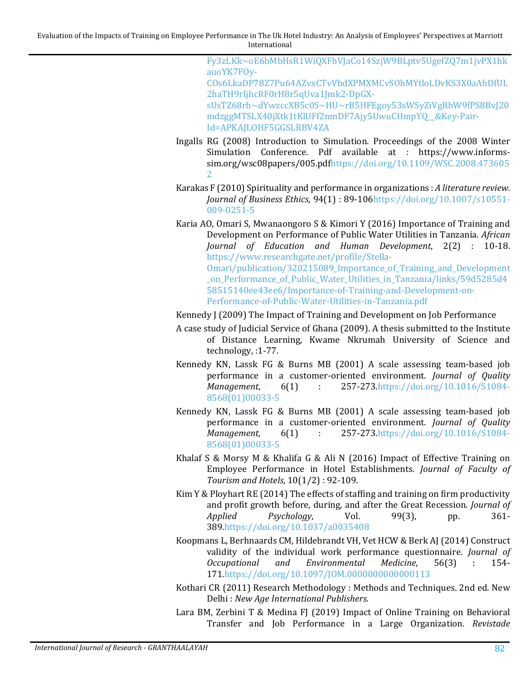[Fy3zLKk~oE6bMbHsR1WiQXFhVJaCo14SzjW9BLptv5UgefZQ7m1jvPX1hk](https://d1wqtxts1xzle7.cloudfront.net/57809962/Impact-Of-Training-Development-On-Employees----Performance-In-Banks-Of-Pakistan-with-cover-page-v2.pdf?Expires=1648706561&Signature=OqXP7ASnq3rnL4N92eEXwSTKYkK2YrEbuaj6B3tc1CqYbL1c1IsU601BmhuA9ATpXdgSJvs52vMhWi4FCTWFy3zLKk%7EoE6bMbHsR1WiQXFhVJaCo14SzjW9BLptv5UgefZQ7m1jvPX1hkauoYK7FOy-COs6LkaDP78Z7Pu64AZvxCTvVbdXPMXMCvSOhMYtloLDvKS3X0aAhDfUL2haTH9rIjhcRF0rH8r5qUva1Jmk2-DpGX-sUsTZ68rh%7EdYwzccXB5c0S%7EHU%7ErB5HFEgoy53sWSyZiVgRbW9fPS8BvJ20mdzggMTSLX40jXtk1tKlUFf2nmDF7Ajy5UwuCHmpYQ__&Key-Pair-Id=APKAJLOHF5GGSLRBV4ZA) auoYK7FOy-[COs6LkaDP78Z7Pu64AZvxCTvVbdXPMXMCvSOhMYtloLDvKS3X0aAhDfUL](https://d1wqtxts1xzle7.cloudfront.net/57809962/Impact-Of-Training-Development-On-Employees----Performance-In-Banks-Of-Pakistan-with-cover-page-v2.pdf?Expires=1648706561&Signature=OqXP7ASnq3rnL4N92eEXwSTKYkK2YrEbuaj6B3tc1CqYbL1c1IsU601BmhuA9ATpXdgSJvs52vMhWi4FCTWFy3zLKk%7EoE6bMbHsR1WiQXFhVJaCo14SzjW9BLptv5UgefZQ7m1jvPX1hkauoYK7FOy-COs6LkaDP78Z7Pu64AZvxCTvVbdXPMXMCvSOhMYtloLDvKS3X0aAhDfUL2haTH9rIjhcRF0rH8r5qUva1Jmk2-DpGX-sUsTZ68rh%7EdYwzccXB5c0S%7EHU%7ErB5HFEgoy53sWSyZiVgRbW9fPS8BvJ20mdzggMTSLX40jXtk1tKlUFf2nmDF7Ajy5UwuCHmpYQ__&Key-Pair-Id=APKAJLOHF5GGSLRBV4ZA) [2haTH9rIjhcRF0rH8r5qUva1Jmk2-](https://d1wqtxts1xzle7.cloudfront.net/57809962/Impact-Of-Training-Development-On-Employees----Performance-In-Banks-Of-Pakistan-with-cover-page-v2.pdf?Expires=1648706561&Signature=OqXP7ASnq3rnL4N92eEXwSTKYkK2YrEbuaj6B3tc1CqYbL1c1IsU601BmhuA9ATpXdgSJvs52vMhWi4FCTWFy3zLKk%7EoE6bMbHsR1WiQXFhVJaCo14SzjW9BLptv5UgefZQ7m1jvPX1hkauoYK7FOy-COs6LkaDP78Z7Pu64AZvxCTvVbdXPMXMCvSOhMYtloLDvKS3X0aAhDfUL2haTH9rIjhcRF0rH8r5qUva1Jmk2-DpGX-sUsTZ68rh%7EdYwzccXB5c0S%7EHU%7ErB5HFEgoy53sWSyZiVgRbW9fPS8BvJ20mdzggMTSLX40jXtk1tKlUFf2nmDF7Ajy5UwuCHmpYQ__&Key-Pair-Id=APKAJLOHF5GGSLRBV4ZA)DpGX[sUsTZ68rh~dYwzccXB5c0S~HU~rB5HFEgoy53sWSyZiVgR](https://d1wqtxts1xzle7.cloudfront.net/57809962/Impact-Of-Training-Development-On-Employees----Performance-In-Banks-Of-Pakistan-with-cover-page-v2.pdf?Expires=1648706561&Signature=OqXP7ASnq3rnL4N92eEXwSTKYkK2YrEbuaj6B3tc1CqYbL1c1IsU601BmhuA9ATpXdgSJvs52vMhWi4FCTWFy3zLKk%7EoE6bMbHsR1WiQXFhVJaCo14SzjW9BLptv5UgefZQ7m1jvPX1hkauoYK7FOy-COs6LkaDP78Z7Pu64AZvxCTvVbdXPMXMCvSOhMYtloLDvKS3X0aAhDfUL2haTH9rIjhcRF0rH8r5qUva1Jmk2-DpGX-sUsTZ68rh%7EdYwzccXB5c0S%7EHU%7ErB5HFEgoy53sWSyZiVgRbW9fPS8BvJ20mdzggMTSLX40jXtk1tKlUFf2nmDF7Ajy5UwuCHmpYQ__&Key-Pair-Id=APKAJLOHF5GGSLRBV4ZA)bW9fPS8BvJ20 [mdzggMTSLX40jXtk1tKlUFf2nmDF7Ajy5UwuCHmpYQ\\_\\_&Key](https://d1wqtxts1xzle7.cloudfront.net/57809962/Impact-Of-Training-Development-On-Employees----Performance-In-Banks-Of-Pakistan-with-cover-page-v2.pdf?Expires=1648706561&Signature=OqXP7ASnq3rnL4N92eEXwSTKYkK2YrEbuaj6B3tc1CqYbL1c1IsU601BmhuA9ATpXdgSJvs52vMhWi4FCTWFy3zLKk%7EoE6bMbHsR1WiQXFhVJaCo14SzjW9BLptv5UgefZQ7m1jvPX1hkauoYK7FOy-COs6LkaDP78Z7Pu64AZvxCTvVbdXPMXMCvSOhMYtloLDvKS3X0aAhDfUL2haTH9rIjhcRF0rH8r5qUva1Jmk2-DpGX-sUsTZ68rh%7EdYwzccXB5c0S%7EHU%7ErB5HFEgoy53sWSyZiVgRbW9fPS8BvJ20mdzggMTSLX40jXtk1tKlUFf2nmDF7Ajy5UwuCHmpYQ__&Key-Pair-Id=APKAJLOHF5GGSLRBV4ZA)-Pair-[Id=APKAJLOHF5GGSLRBV4ZA](https://d1wqtxts1xzle7.cloudfront.net/57809962/Impact-Of-Training-Development-On-Employees----Performance-In-Banks-Of-Pakistan-with-cover-page-v2.pdf?Expires=1648706561&Signature=OqXP7ASnq3rnL4N92eEXwSTKYkK2YrEbuaj6B3tc1CqYbL1c1IsU601BmhuA9ATpXdgSJvs52vMhWi4FCTWFy3zLKk%7EoE6bMbHsR1WiQXFhVJaCo14SzjW9BLptv5UgefZQ7m1jvPX1hkauoYK7FOy-COs6LkaDP78Z7Pu64AZvxCTvVbdXPMXMCvSOhMYtloLDvKS3X0aAhDfUL2haTH9rIjhcRF0rH8r5qUva1Jmk2-DpGX-sUsTZ68rh%7EdYwzccXB5c0S%7EHU%7ErB5HFEgoy53sWSyZiVgRbW9fPS8BvJ20mdzggMTSLX40jXtk1tKlUFf2nmDF7Ajy5UwuCHmpYQ__&Key-Pair-Id=APKAJLOHF5GGSLRBV4ZA)

- <span id="page-25-4"></span>Ingalls RG (2008) Introduction to Simulation. Proceedings of the 2008 Winter Simulation Conference. Pdf available at : https://www.informssim.org/wsc08papers/005.pd[fhttps://doi.org/10.1109/WSC.2008.473605](https://doi.org/10.1109/WSC.2008.4736052) [2](https://doi.org/10.1109/WSC.2008.4736052)
- <span id="page-25-5"></span>Karakas F (2010) Spirituality and performance in organizations : *A literature review. Journal of Business Ethics*, 94(1) : 89-10[6https://doi.org/10.1007/s10551-](https://doi.org/10.1007/s10551-009-0251-5) [009-0251-5](https://doi.org/10.1007/s10551-009-0251-5)
- <span id="page-25-0"></span>Karia AO, Omari S, Mwanaongoro S & Kimori Y (2016) Importance of Training and Development on Performance of Public Water Utilities in Tanzania. *African Journal of Education and Human Development*, 2(2) : 10-18. [https://www.researchgate.net/profile/Stella-](https://www.researchgate.net/profile/Stella-Omari/publication/320215089_Importance_of_Training_and_Development_on_Performance_of_Public_Water_Utilities_in_Tanzania/links/59d5285d458515140ee43ee6/Importance-of-Training-and-Development-on-Performance-of-Public-Water-Utilities-in-Tanzania.pdf)[Omari/publication/320215089\\_Importance\\_of\\_Training\\_and\\_Development](https://www.researchgate.net/profile/Stella-Omari/publication/320215089_Importance_of_Training_and_Development_on_Performance_of_Public_Water_Utilities_in_Tanzania/links/59d5285d458515140ee43ee6/Importance-of-Training-and-Development-on-Performance-of-Public-Water-Utilities-in-Tanzania.pdf) [\\_on\\_Performance\\_of\\_Public\\_Water\\_Utilities\\_in\\_Tanzania/links/59d5285d](https://www.researchgate.net/profile/Stella-Omari/publication/320215089_Importance_of_Training_and_Development_on_Performance_of_Public_Water_Utilities_in_Tanzania/links/59d5285d458515140ee43ee6/Importance-of-Training-and-Development-on-Performance-of-Public-Water-Utilities-in-Tanzania.pdf)4 [58515140ee43ee6/Importance-of-Training-and-Development-on-](https://www.researchgate.net/profile/Stella-Omari/publication/320215089_Importance_of_Training_and_Development_on_Performance_of_Public_Water_Utilities_in_Tanzania/links/59d5285d458515140ee43ee6/Importance-of-Training-and-Development-on-Performance-of-Public-Water-Utilities-in-Tanzania.pdf)[Performance-of-Public-Water-Utilities-in-Tanzania.pdf](https://www.researchgate.net/profile/Stella-Omari/publication/320215089_Importance_of_Training_and_Development_on_Performance_of_Public_Water_Utilities_in_Tanzania/links/59d5285d458515140ee43ee6/Importance-of-Training-and-Development-on-Performance-of-Public-Water-Utilities-in-Tanzania.pdf)
- <span id="page-25-2"></span>Kennedy J (2009) The Impact of Training and Development on Job Performance
- A case study of Judicial Service of Ghana (2009). A thesis submitted to the Institute of Distance Learning, Kwame Nkrumah University of Science and technology, :1-77.
- <span id="page-25-6"></span>Kennedy KN, Lassk FG & Burns MB (2001) A scale assessing team-based job performance in a customer-oriented environment. *Journal of Quality Management*, 6(1) : 257-273[.https://doi.org/10.1016/S1084-](https://doi.org/10.1016/S1084-8568(01)00033-5) [8568\(01\)00033-5](https://doi.org/10.1016/S1084-8568(01)00033-5)
- Kennedy KN, Lassk FG & Burns MB (2001) A scale assessing team-based job performance in a customer-oriented environment. *Journal of Quality Management*, 6(1) : 257-273.https://doi.org/10.1016/S1084-*Management*, 6(1) : 257-273[.https://doi.org/10.1016/S1084-](https://doi.org/10.1016/S1084-8568(01)00033-5) [8568\(01\)00033-5](https://doi.org/10.1016/S1084-8568(01)00033-5)
- <span id="page-25-1"></span>Khalaf S & Morsy M & Khalifa G & Ali N (2016) Impact of Effective Training on Employee Performance in Hotel Establishments. *Journal of Faculty of Tourism and Hotels*, 10(1/2) : 92-109.
- <span id="page-25-3"></span>Kim Y & Ployhart RE (2014) The effects of staffing and training on firm productivity and profit growth before, during, and after the Great Recession. *Journal of Psychology*, 38[9.https://doi.org/10.1037/a0035408](https://doi.org/10.1037/a0035408)
- <span id="page-25-7"></span>Koopmans L, Berhnaards CM, Hildebrandt VH, Vet HCW & Berk AJ (2014) Construct validity of the individual work performance questionnaire. *Journal of*  $Environmental$ 17[1.https://doi.org/10.1097/JOM.0000000000000113](https://doi.org/10.1097/JOM.0000000000000113)
- <span id="page-25-8"></span>Kothari CR (2011) Research Methodology : Methods and Techniques. 2nd ed. New Delhi : *New Age International Publishers*.

<span id="page-25-9"></span>Lara BM, Zerbini T & Medina FJ (2019) Impact of Online Training on Behavioral Transfer and Job Performance in a Large Organization. *Revistade*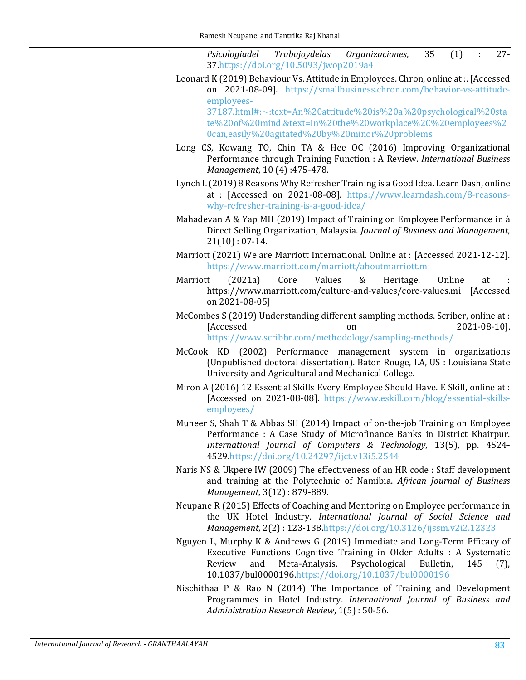*Psicologiadel Trabajoydelas Organizaciones*, 35 (1) : 27- 3[7.https://doi.org/10.5093/jwop2019a4](https://doi.org/10.5093/jwop2019a4)

<span id="page-26-10"></span>Leonard K (2019) Behaviour Vs. Attitude in Employees. Chron, online at :. [Accessed on 2021-08-09]. [https://smallbusiness.chron.com/behavior-vs-attitude](https://smallbusiness.chron.com/behavior-vs-attitude-employees-37187.html#:%7E:text=An%20attitude%20is%20a%20psychological%20state%20of%20mind.&text=In%20the%20workplace%2C%20employees%20can,easily%20agitated%20by%20minor%20problems)employees-

[37187.html#:~:text=An%20attitude%20is%20a%20psychological%20sta](https://smallbusiness.chron.com/behavior-vs-attitude-employees-37187.html#:%7E:text=An%20attitude%20is%20a%20psychological%20state%20of%20mind.&text=In%20the%20workplace%2C%20employees%20can,easily%20agitated%20by%20minor%20problems) [te%20of%20mind.&text=In%20the%20workplace%2C%20employees%2](https://smallbusiness.chron.com/behavior-vs-attitude-employees-37187.html#:%7E:text=An%20attitude%20is%20a%20psychological%20state%20of%20mind.&text=In%20the%20workplace%2C%20employees%20can,easily%20agitated%20by%20minor%20problems) [0can,easily%20agitated%20by%20minor%20problems](https://smallbusiness.chron.com/behavior-vs-attitude-employees-37187.html#:%7E:text=An%20attitude%20is%20a%20psychological%20state%20of%20mind.&text=In%20the%20workplace%2C%20employees%20can,easily%20agitated%20by%20minor%20problems)

- <span id="page-26-0"></span>Long CS, Kowang TO, Chin TA & Hee OC (2016) Improving Organizational Performance through Training Function : A Review. *International Business Management*, 10 (4) :475-478.
- <span id="page-26-6"></span>Lynch L (2019) 8 Reasons Why Refresher Training is a Good Idea. Learn Dash, online at : [Accessed on 2021-08-08]. [https://www.learndash.com/8-reasons](https://www.learndash.com/8-reasons-why-refresher-training-is-a-good-idea/)[why-refresher-training-is-a-good-idea/](https://www.learndash.com/8-reasons-why-refresher-training-is-a-good-idea/)
- <span id="page-26-13"></span>Mahadevan A & Yap MH (2019) Impact of Training on Employee Performance in à Direct Selling Organization, Malaysia. *Journal of Business and Management*,  $21(10): 07-14.$
- <span id="page-26-2"></span>Marriott (2021) We are Marriott International. Online at : [Accessed 2021-12-12]. <https://www.marriott.com/marriott/aboutmarriott.mi>
- <span id="page-26-3"></span>Marriott (2021a) Core Values & Heritage. Online at : https://www.marriott.com/culture-and-values/core-values.mi [Accessed on 2021-08-05]
- <span id="page-26-11"></span>McCombes S (2019) Understanding different sampling methods. Scriber, online at :  $[Accessed$  on  $2021-08-10]$ . <https://www.scribbr.com/methodology/sampling-methods/>
- <span id="page-26-8"></span>McCook KD (2002) Performance management system in organizations (Unpublished doctoral dissertation). Baton Rouge, LA, US : Louisiana State University and Agricultural and Mechanical College.
- <span id="page-26-9"></span>Miron A (2016) 12 Essential Skills Every Employee Should Have. E Skill, online at : [Accessed on 2021-08-08]. [https://www.eskill.com/blog/essential-skills](https://www.eskill.com/blog/essential-skills-employees/)[employees/](https://www.eskill.com/blog/essential-skills-employees/)
- <span id="page-26-12"></span>Muneer S, Shah T & Abbas SH (2014) Impact of on-the-job Training on Employee Performance : A Case Study of Microfinance Banks in District Khairpur. *International Journal of Computers & Technology*, 13(5), pp. 4524- 452[9.https://doi.org/10.24297/ijct.v13i5.2544](https://doi.org/10.24297/ijct.v13i5.2544)
- <span id="page-26-4"></span>Naris NS & Ukpere IW (2009) The effectiveness of an HR code : Staff development and training at the Polytechnic of Namibia. *African Journal of Business Management*, 3(12) : 879-889.
- <span id="page-26-7"></span>Neupane R (2015) Effects of Coaching and Mentoring on Employee performance in the UK Hotel Industry. *International Journal of Social Science and Management*, 2(2) : 123-138[.https://doi.org/10.3126/ijssm.v2i2.12323](https://doi.org/10.3126/ijssm.v2i2.12323)
- <span id="page-26-5"></span>Nguyen L, Murphy K & Andrews G (2019) Immediate and Long-Term Efficacy of Executive Functions Cognitive Training in Older Adults : A Systematic Review and Meta-Analysis. Psychological Bulletin, 145 (7), Meta-Analysis. 10.1037/bul0000196[.https://doi.org/10.1037/bul0000196](https://doi.org/10.1037/bul0000196)
- <span id="page-26-1"></span>Nischithaa P & Rao N (2014) The Importance of Training and Development Programmes in Hotel Industry. *International Journal of Business and Administration Research Review*, 1(5) : 50-56.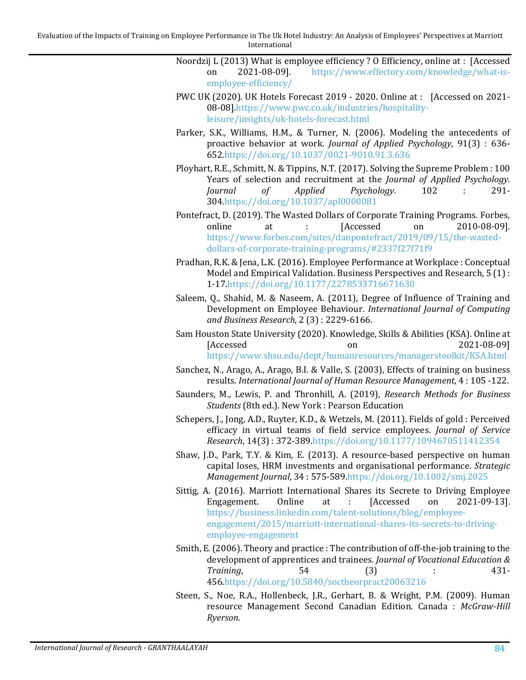- <span id="page-27-11"></span>Noordzij L (2013) What is employee efficiency? O Efficiency, online at : [Accessed<br>on 2021-08-09]. https://www.effectory.com/knowledge/what-is[https://www.effectory.com/knowledge/what-is](https://www.effectory.com/knowledge/what-is-employee-efficiency/)[employee-efficiency/](https://www.effectory.com/knowledge/what-is-employee-efficiency/)
- <span id="page-27-1"></span>PWC UK (2020). UK Hotels Forecast 2019 - 2020. Online at : [Accessed on 2021- 08-08][.https://www.pwc.co.uk/industries/hospitality](https://www.pwc.co.uk/industries/hospitality-leisure/insights/uk-hotels-forecast.html)[leisure/insights/uk-hotels-forecast.html](https://www.pwc.co.uk/industries/hospitality-leisure/insights/uk-hotels-forecast.html)
- <span id="page-27-9"></span>Parker, S.K., Williams, H.M., & Turner, N. (2006). Modeling the antecedents of proactive behavior at work. *Journal of Applied Psychology*, 91(3) : 636- 65[2.https://doi.org/10.1037/0021-9010.91.3.636](https://doi.org/10.1037/0021-9010.91.3.636)
- <span id="page-27-5"></span>Ployhart, R.E., Schmitt, N. & Tippins, N.T. (2017). Solving the Supreme Problem : 100 Years of selection and recruitment at the *Journal of Applied Psychology. Psychology.* 30[4.https://doi.org/10.1037/apl0000081](https://doi.org/10.1037/apl0000081)
- <span id="page-27-4"></span>Pontefract, D. (2019). The Wasted Dollars of Corporate Training Programs. Forbes,<br>online at : [Accessed on 2010-08-09]. online at : [Accessed on 2010-08-09]. [https://www.forbes.com/sites/danpontefract/2019/09/15/the-wasted](https://www.forbes.com/sites/danpontefract/2019/09/15/the-wasted-dollars-of-corporate-training-programs/#2337f27f71f9)[dollars-of-corporate-training-programs/#2337f27f71f9](https://www.forbes.com/sites/danpontefract/2019/09/15/the-wasted-dollars-of-corporate-training-programs/#2337f27f71f9)
- <span id="page-27-8"></span>Pradhan, R.K. & Jena, L.K. (2016). Employee Performance at Workplace : Conceptual Model and Empirical Validation. Business Perspectives and Research, 5 (1) : 1-17[.https://doi.org/10.1177/2278533716671630](https://doi.org/10.1177/2278533716671630)
- <span id="page-27-3"></span>Saleem, Q., Shahid, M. & Naseem, A. (2011), Degree of Influence of Training and Development on Employee Behaviour. *International Journal of Computing and Business Research*, 2 (3) : 2229-6166.
- <span id="page-27-10"></span>Sam Houston State University (2020). Knowledge, Skills & Abilities (KSA). Online at  $[Accessed$  on  $2021-08-09]$ <https://www.shsu.edu/dept/humanresources/managerstoolkit/KSA.html>
- <span id="page-27-6"></span>Sanchez, N., Arago, A., Arago, B.I. & Valle, S. (2003), Effects of training on business results. *International Journal of Human Resource Management*, 4 : 105 -122.
- <span id="page-27-12"></span>Saunders, M., Lewis, P. and Thronhill, A. (2019), *Research Methods for Business Students* (8th ed.). New York : Pearson Education
- Schepers, J., Jong, A.D., Ruyter, K.D., & Wetzels, M. (2011). Fields of gold : Perceived efficacy in virtual teams of field service employees. *Journal of Service Research*, 14(3) : 372-389[.https://doi.org/10.1177/1094670511412354](https://doi.org/10.1177/1094670511412354)
- <span id="page-27-0"></span>Shaw, J.D., Park, T.Y. & Kim, E. (2013). A resource-based perspective on human capital loses, HRM investments and organisational performance. *Strategic Management Journal*, 34 : 575-58[9.https://doi.org/10.1002/smj.2025](https://doi.org/10.1002/smj.2025)
- <span id="page-27-13"></span>Sittig, A. (2016). Marriott International Shares its Secrete to Driving Employee<br>Engagement. Online at : [Accessed on 2021-09-13]. Engagement. Online at : [Accessed on 2021-09-13]. [https://business.linkedin.com/talent-solutions/blog/employee](https://business.linkedin.com/talent-solutions/blog/employee-engagement/2015/marriott-international-shares-its-secrets-to-driving-employee-engagement)[engagement/2015/marriott-international-shares-its-secrets-to-driving](https://business.linkedin.com/talent-solutions/blog/employee-engagement/2015/marriott-international-shares-its-secrets-to-driving-employee-engagement)[employee-engagement](https://business.linkedin.com/talent-solutions/blog/employee-engagement/2015/marriott-international-shares-its-secrets-to-driving-employee-engagement)
- <span id="page-27-7"></span>Smith, E. (2006). Theory and practice : The contribution of off-the-job training to the development of apprentices and trainees. *Journal of Vocational Education & Training*, 54 (3) : 431- 45[6.https://doi.org/10.5840/soctheorpract20063216](https://doi.org/10.5840/soctheorpract20063216)
- <span id="page-27-2"></span>Steen, S., Noe, R.A., Hollenbeck, J.R., Gerhart, B. & Wright, P.M. (2009). Human resource Management Second Canadian Edition. Canada : *McGraw-Hill Ryerson*.